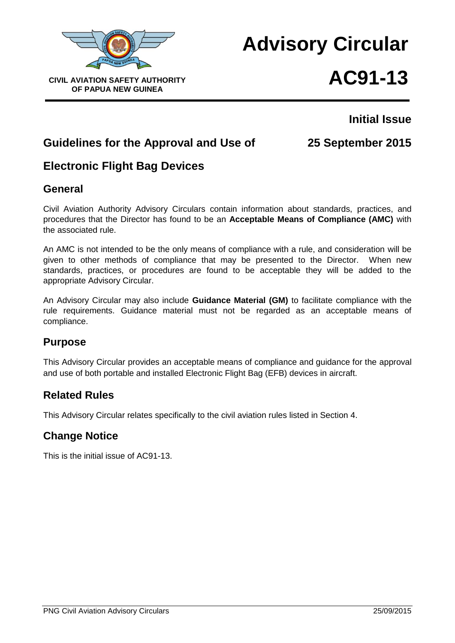

# **Advisory Circular** CIVIL AVIATION SAFETY AUTHORITY **AC91-13**

# **Initial Issue**

# **Guidelines for the Approval and Use of 25 September 2015**

# **Electronic Flight Bag Devices**

# **General**

Civil Aviation Authority Advisory Circulars contain information about standards, practices, and procedures that the Director has found to be an **Acceptable Means of Compliance (AMC)** with the associated rule.

An AMC is not intended to be the only means of compliance with a rule, and consideration will be given to other methods of compliance that may be presented to the Director. When new standards, practices, or procedures are found to be acceptable they will be added to the appropriate Advisory Circular.

An Advisory Circular may also include **Guidance Material (GM)** to facilitate compliance with the rule requirements. Guidance material must not be regarded as an acceptable means of compliance.

# **Purpose**

This Advisory Circular provides an acceptable means of compliance and guidance for the approval and use of both portable and installed Electronic Flight Bag (EFB) devices in aircraft.

# **Related Rules**

This Advisory Circular relates specifically to the civil aviation rules listed in Section 4.

# **Change Notice**

This is the initial issue of AC91-13.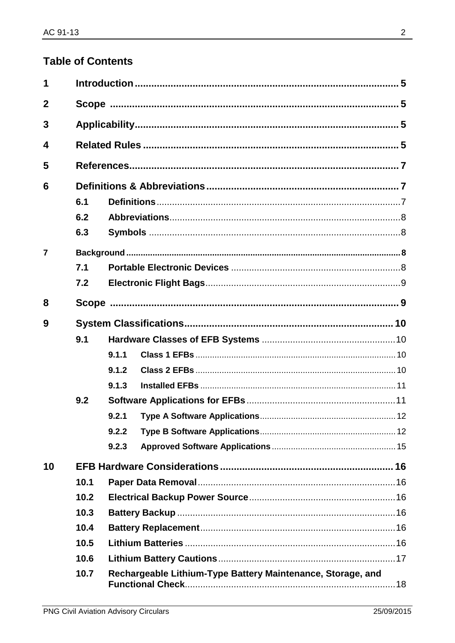# **Table of Contents**

| 1              |      |       |                                                             |  |
|----------------|------|-------|-------------------------------------------------------------|--|
| $\overline{2}$ |      |       |                                                             |  |
| 3              |      |       |                                                             |  |
| 4              |      |       |                                                             |  |
| 5              |      |       |                                                             |  |
| 6              |      |       |                                                             |  |
|                | 6.1  |       |                                                             |  |
|                | 6.2  |       |                                                             |  |
|                | 6.3  |       |                                                             |  |
| $\overline{7}$ |      |       |                                                             |  |
|                | 7.1  |       |                                                             |  |
|                | 7.2  |       |                                                             |  |
| 8              |      |       |                                                             |  |
| 9              |      |       |                                                             |  |
|                | 9.1  |       |                                                             |  |
|                |      | 9.1.1 |                                                             |  |
|                |      | 9.1.2 |                                                             |  |
|                |      | 9.1.3 |                                                             |  |
|                | 9.2  |       |                                                             |  |
|                |      | 9.2.1 |                                                             |  |
|                |      | 9.2.2 |                                                             |  |
|                |      | 9.2.3 |                                                             |  |
| 10             |      |       |                                                             |  |
|                | 10.1 |       |                                                             |  |
|                | 10.2 |       |                                                             |  |
|                | 10.3 |       |                                                             |  |
|                | 10.4 |       |                                                             |  |
|                | 10.5 |       |                                                             |  |
|                | 10.6 |       |                                                             |  |
|                | 10.7 |       | Rechargeable Lithium-Type Battery Maintenance, Storage, and |  |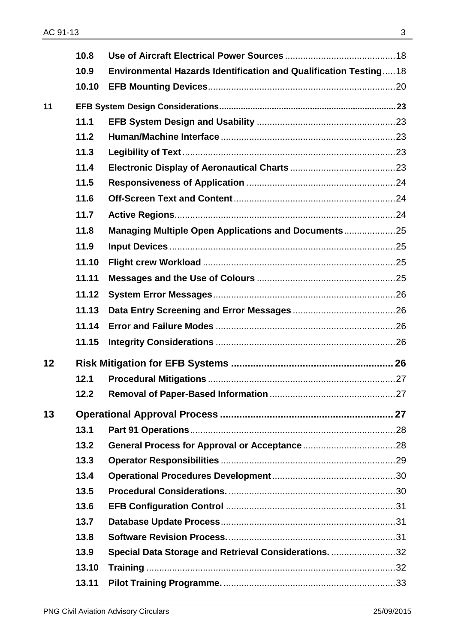|    | 10.8  |                                                                   |  |
|----|-------|-------------------------------------------------------------------|--|
|    | 10.9  | Environmental Hazards Identification and Qualification Testing 18 |  |
|    | 10.10 |                                                                   |  |
| 11 |       |                                                                   |  |
|    | 11.1  |                                                                   |  |
|    | 11.2  |                                                                   |  |
|    | 11.3  |                                                                   |  |
|    | 11.4  |                                                                   |  |
|    | 11.5  |                                                                   |  |
|    | 11.6  |                                                                   |  |
|    | 11.7  |                                                                   |  |
|    | 11.8  | Managing Multiple Open Applications and Documents25               |  |
|    | 11.9  |                                                                   |  |
|    | 11.10 |                                                                   |  |
|    | 11.11 |                                                                   |  |
|    | 11.12 |                                                                   |  |
|    | 11.13 |                                                                   |  |
|    | 11.14 |                                                                   |  |
|    | 11.15 |                                                                   |  |
| 12 |       |                                                                   |  |
|    | 12.1  |                                                                   |  |
|    | 12.2  |                                                                   |  |
| 13 |       |                                                                   |  |
|    | 13.1  |                                                                   |  |
|    | 13.2  |                                                                   |  |
|    | 13.3  |                                                                   |  |
|    | 13.4  |                                                                   |  |
|    | 13.5  |                                                                   |  |
|    | 13.6  |                                                                   |  |
|    | 13.7  |                                                                   |  |
|    | 13.8  |                                                                   |  |
|    | 13.9  | Special Data Storage and Retrieval Considerations. 32             |  |
|    | 13.10 |                                                                   |  |
|    | 13.11 |                                                                   |  |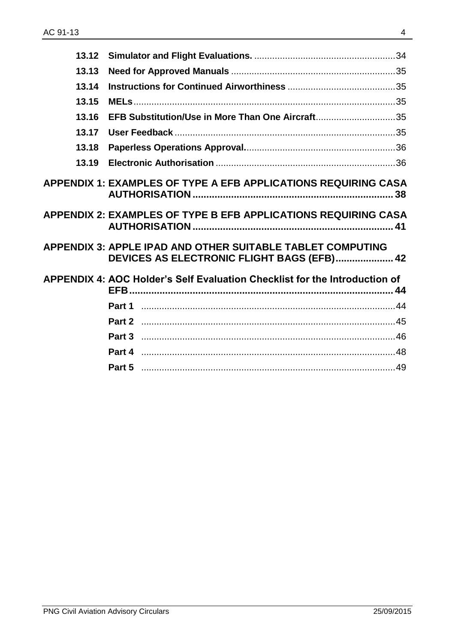| 13.12 |                                                                                                                 |  |
|-------|-----------------------------------------------------------------------------------------------------------------|--|
| 13.13 |                                                                                                                 |  |
| 13.14 |                                                                                                                 |  |
| 13.15 |                                                                                                                 |  |
| 13.16 | EFB Substitution/Use in More Than One Aircraft35                                                                |  |
| 13.17 |                                                                                                                 |  |
| 13.18 |                                                                                                                 |  |
| 13.19 |                                                                                                                 |  |
|       | APPENDIX 1: EXAMPLES OF TYPE A EFB APPLICATIONS REQUIRING CASA<br>38                                            |  |
|       | APPENDIX 2: EXAMPLES OF TYPE B EFB APPLICATIONS REQUIRING CASA                                                  |  |
|       | <b>APPENDIX 3: APPLE IPAD AND OTHER SUITABLE TABLET COMPUTING</b><br>DEVICES AS ELECTRONIC FLIGHT BAGS (EFB) 42 |  |
|       | APPENDIX 4: AOC Holder's Self Evaluation Checklist for the Introduction of                                      |  |
|       |                                                                                                                 |  |
|       |                                                                                                                 |  |
|       |                                                                                                                 |  |
|       |                                                                                                                 |  |
|       |                                                                                                                 |  |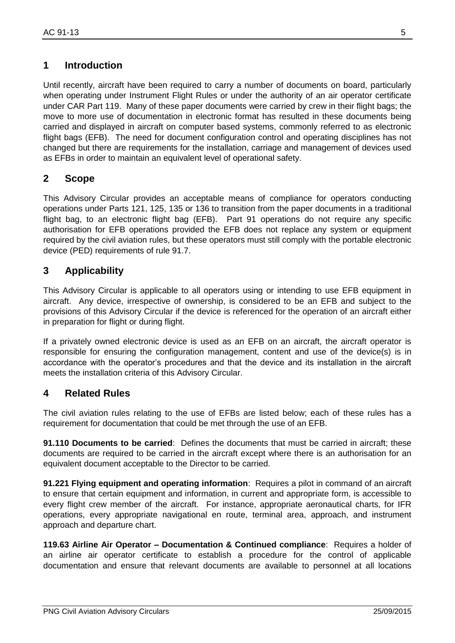# <span id="page-4-0"></span>**1 Introduction**

Until recently, aircraft have been required to carry a number of documents on board, particularly when operating under Instrument Flight Rules or under the authority of an air operator certificate under CAR Part 119. Many of these paper documents were carried by crew in their flight bags; the move to more use of documentation in electronic format has resulted in these documents being carried and displayed in aircraft on computer based systems, commonly referred to as electronic flight bags (EFB). The need for document configuration control and operating disciplines has not changed but there are requirements for the installation, carriage and management of devices used as EFBs in order to maintain an equivalent level of operational safety.

### <span id="page-4-1"></span>**2 Scope**

This Advisory Circular provides an acceptable means of compliance for operators conducting operations under Parts 121, 125, 135 or 136 to transition from the paper documents in a traditional flight bag, to an electronic flight bag (EFB). Part 91 operations do not require any specific authorisation for EFB operations provided the EFB does not replace any system or equipment required by the civil aviation rules, but these operators must still comply with the portable electronic device (PED) requirements of rule 91.7.

# <span id="page-4-2"></span>**3 Applicability**

This Advisory Circular is applicable to all operators using or intending to use EFB equipment in aircraft. Any device, irrespective of ownership, is considered to be an EFB and subject to the provisions of this Advisory Circular if the device is referenced for the operation of an aircraft either in preparation for flight or during flight.

If a privately owned electronic device is used as an EFB on an aircraft, the aircraft operator is responsible for ensuring the configuration management, content and use of the device(s) is in accordance with the operator's procedures and that the device and its installation in the aircraft meets the installation criteria of this Advisory Circular.

### <span id="page-4-3"></span>**4 Related Rules**

The civil aviation rules relating to the use of EFBs are listed below; each of these rules has a requirement for documentation that could be met through the use of an EFB.

**91.110 Documents to be carried**: Defines the documents that must be carried in aircraft; these documents are required to be carried in the aircraft except where there is an authorisation for an equivalent document acceptable to the Director to be carried.

**91.221 Flying equipment and operating information**: Requires a pilot in command of an aircraft to ensure that certain equipment and information, in current and appropriate form, is accessible to every flight crew member of the aircraft. For instance, appropriate aeronautical charts, for IFR operations, every appropriate navigational en route, terminal area, approach, and instrument approach and departure chart.

**119.63 Airline Air Operator – Documentation & Continued compliance**: Requires a holder of an airline air operator certificate to establish a procedure for the control of applicable documentation and ensure that relevant documents are available to personnel at all locations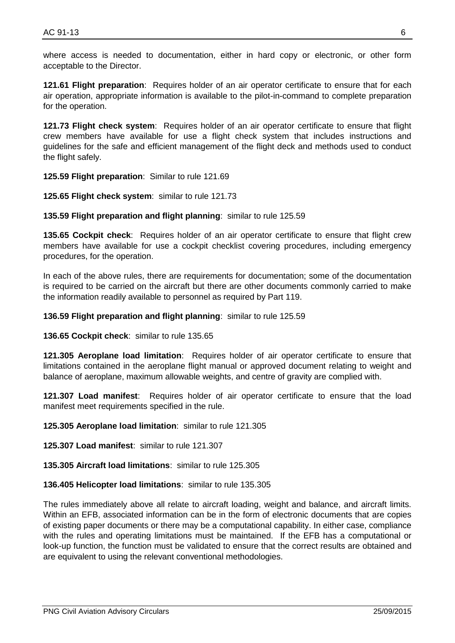where access is needed to documentation, either in hard copy or electronic, or other form acceptable to the Director.

**121.61 Flight preparation**: Requires holder of an air operator certificate to ensure that for each air operation, appropriate information is available to the pilot-in-command to complete preparation for the operation.

**121.73 Flight check system**: Requires holder of an air operator certificate to ensure that flight crew members have available for use a flight check system that includes instructions and guidelines for the safe and efficient management of the flight deck and methods used to conduct the flight safely.

**125.59 Flight preparation**: Similar to rule 121.69

**125.65 Flight check system**: similar to rule 121.73

**135.59 Flight preparation and flight planning**: similar to rule 125.59

**135.65 Cockpit check**: Requires holder of an air operator certificate to ensure that flight crew members have available for use a cockpit checklist covering procedures, including emergency procedures, for the operation.

In each of the above rules, there are requirements for documentation; some of the documentation is required to be carried on the aircraft but there are other documents commonly carried to make the information readily available to personnel as required by Part 119.

**136.59 Flight preparation and flight planning**: similar to rule 125.59

**136.65 Cockpit check**: similar to rule 135.65

**121.305 Aeroplane load limitation**: Requires holder of air operator certificate to ensure that limitations contained in the aeroplane flight manual or approved document relating to weight and balance of aeroplane, maximum allowable weights, and centre of gravity are complied with.

**121.307 Load manifest**: Requires holder of air operator certificate to ensure that the load manifest meet requirements specified in the rule.

**125.305 Aeroplane load limitation**: similar to rule 121.305

**125.307 Load manifest**: similar to rule 121.307

**135.305 Aircraft load limitations**: similar to rule 125.305

**136.405 Helicopter load limitations**: similar to rule 135.305

The rules immediately above all relate to aircraft loading, weight and balance, and aircraft limits. Within an EFB, associated information can be in the form of electronic documents that are copies of existing paper documents or there may be a computational capability. In either case, compliance with the rules and operating limitations must be maintained. If the EFB has a computational or look-up function, the function must be validated to ensure that the correct results are obtained and are equivalent to using the relevant conventional methodologies.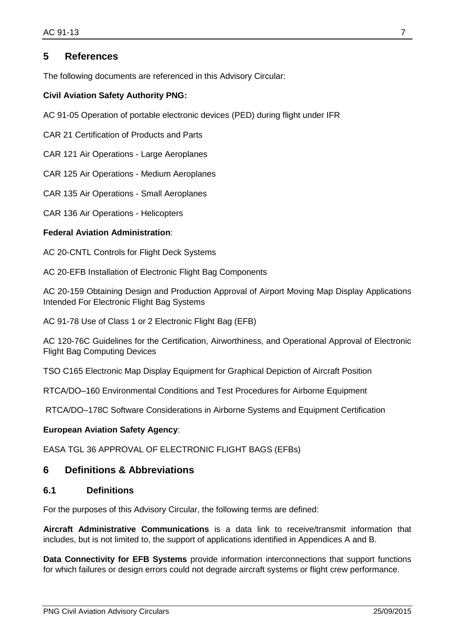#### <span id="page-6-0"></span>**5 References**

The following documents are referenced in this Advisory Circular:

#### **Civil Aviation Safety Authority PNG:**

AC 91-05 Operation of portable electronic devices (PED) during flight under IFR

CAR 21 Certification of Products and Parts

CAR 121 Air Operations - Large Aeroplanes

CAR 125 Air Operations - Medium Aeroplanes

CAR 135 Air Operations - Small Aeroplanes

CAR 136 Air Operations - Helicopters

#### **Federal Aviation Administration**:

AC 20-CNTL Controls for Flight Deck Systems

AC 20-EFB Installation of Electronic Flight Bag Components

AC 20-159 Obtaining Design and Production Approval of Airport Moving Map Display Applications Intended For Electronic Flight Bag Systems

AC 91-78 Use of Class 1 or 2 Electronic Flight Bag (EFB)

AC 120-76C Guidelines for the Certification, Airworthiness, and Operational Approval of Electronic Flight Bag Computing Devices

TSO C165 Electronic Map Display Equipment for Graphical Depiction of Aircraft Position

RTCA/DO–160 Environmental Conditions and Test Procedures for Airborne Equipment

RTCA/DO–178C Software Considerations in Airborne Systems and Equipment Certification

#### **European Aviation Safety Agency**:

EASA TGL 36 APPROVAL OF ELECTRONIC FLIGHT BAGS (EFBs)

#### <span id="page-6-1"></span>**6 Definitions & Abbreviations**

#### <span id="page-6-2"></span>**6.1 Definitions**

For the purposes of this Advisory Circular, the following terms are defined:

**Aircraft Administrative Communications** is a data link to receive/transmit information that includes, but is not limited to, the support of applications identified in Appendices A and B.

**Data Connectivity for EFB Systems** provide information interconnections that support functions for which failures or design errors could not degrade aircraft systems or flight crew performance.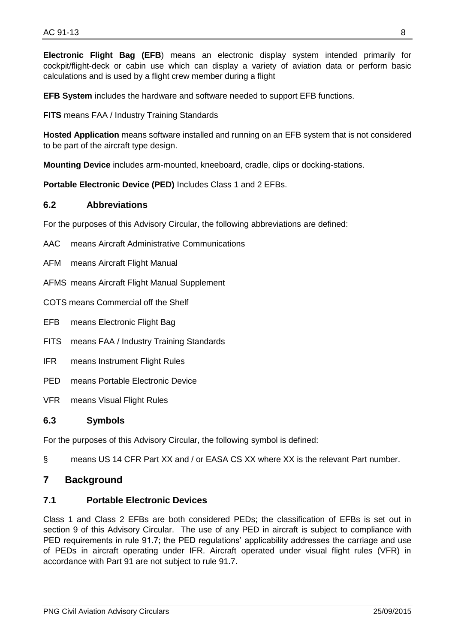**Electronic Flight Bag (EFB**) means an electronic display system intended primarily for cockpit/flight-deck or cabin use which can display a variety of aviation data or perform basic calculations and is used by a flight crew member during a flight

**EFB System** includes the hardware and software needed to support EFB functions.

**FITS** means FAA / Industry Training Standards

**Hosted Application** means software installed and running on an EFB system that is not considered to be part of the aircraft type design.

**Mounting Device** includes arm-mounted, kneeboard, cradle, clips or docking-stations.

**Portable Electronic Device (PED)** Includes Class 1 and 2 EFBs.

#### <span id="page-7-0"></span>**6.2 Abbreviations**

For the purposes of this Advisory Circular, the following abbreviations are defined:

- AAC means Aircraft Administrative Communications
- AFM means Aircraft Flight Manual
- AFMS means Aircraft Flight Manual Supplement
- COTS means Commercial off the Shelf
- EFB means Electronic Flight Bag
- FITS means FAA / Industry Training Standards
- IFR means Instrument Flight Rules
- PED means Portable Electronic Device
- VFR means Visual Flight Rules

#### <span id="page-7-1"></span>**6.3 Symbols**

For the purposes of this Advisory Circular, the following symbol is defined:

§ means US 14 CFR Part XX and / or EASA CS XX where XX is the relevant Part number.

#### <span id="page-7-2"></span>**7 Background**

#### <span id="page-7-3"></span>**7.1 Portable Electronic Devices**

Class 1 and Class 2 EFBs are both considered PEDs; the classification of EFBs is set out in section 9 of this Advisory Circular. The use of any PED in aircraft is subject to compliance with PED requirements in rule 91.7; the PED regulations' applicability addresses the carriage and use of PEDs in aircraft operating under IFR. Aircraft operated under visual flight rules (VFR) in accordance with Part 91 are not subject to rule 91.7.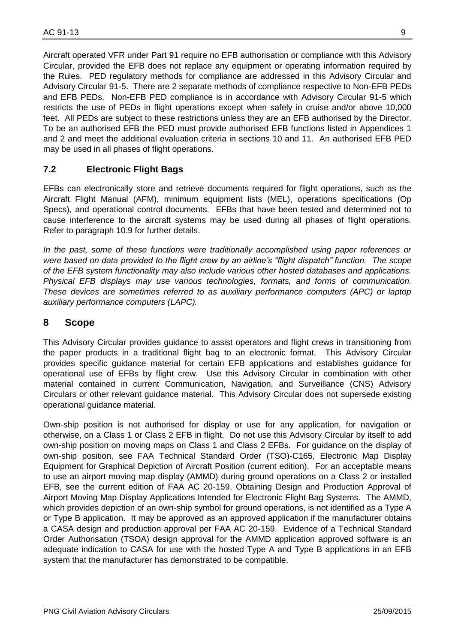Aircraft operated VFR under Part 91 require no EFB authorisation or compliance with this Advisory Circular, provided the EFB does not replace any equipment or operating information required by the Rules. PED regulatory methods for compliance are addressed in this Advisory Circular and Advisory Circular 91-5. There are 2 separate methods of compliance respective to Non-EFB PEDs and EFB PEDs. Non-EFB PED compliance is in accordance with Advisory Circular 91-5 which restricts the use of PEDs in flight operations except when safely in cruise and/or above 10,000 feet. All PEDs are subject to these restrictions unless they are an EFB authorised by the Director. To be an authorised EFB the PED must provide authorised EFB functions listed in Appendices 1 and 2 and meet the additional evaluation criteria in sections 10 and 11. An authorised EFB PED may be used in all phases of flight operations.

#### <span id="page-8-0"></span>**7.2 Electronic Flight Bags**

EFBs can electronically store and retrieve documents required for flight operations, such as the Aircraft Flight Manual (AFM), minimum equipment lists (MEL), operations specifications (Op Specs), and operational control documents. EFBs that have been tested and determined not to cause interference to the aircraft systems may be used during all phases of flight operations. Refer to paragraph 10.9 for further details.

*In the past, some of these functions were traditionally accomplished using paper references or were based on data provided to the flight crew by an airline's "flight dispatch" function. The scope of the EFB system functionality may also include various other hosted databases and applications. Physical EFB displays may use various technologies, formats, and forms of communication. These devices are sometimes referred to as auxiliary performance computers (APC) or laptop auxiliary performance computers (LAPC).*

#### <span id="page-8-1"></span>**8 Scope**

This Advisory Circular provides guidance to assist operators and flight crews in transitioning from the paper products in a traditional flight bag to an electronic format. This Advisory Circular provides specific guidance material for certain EFB applications and establishes guidance for operational use of EFBs by flight crew. Use this Advisory Circular in combination with other material contained in current Communication, Navigation, and Surveillance (CNS) Advisory Circulars or other relevant guidance material. This Advisory Circular does not supersede existing operational guidance material.

Own-ship position is not authorised for display or use for any application, for navigation or otherwise, on a Class 1 or Class 2 EFB in flight. Do not use this Advisory Circular by itself to add own-ship position on moving maps on Class 1 and Class 2 EFBs. For guidance on the display of own-ship position, see FAA Technical Standard Order (TSO)-C165, Electronic Map Display Equipment for Graphical Depiction of Aircraft Position (current edition). For an acceptable means to use an airport moving map display (AMMD) during ground operations on a Class 2 or installed EFB, see the current edition of FAA AC 20-159, Obtaining Design and Production Approval of Airport Moving Map Display Applications Intended for Electronic Flight Bag Systems. The AMMD, which provides depiction of an own-ship symbol for ground operations, is not identified as a Type A or Type B application. It may be approved as an approved application if the manufacturer obtains a CASA design and production approval per FAA AC 20-159. Evidence of a Technical Standard Order Authorisation (TSOA) design approval for the AMMD application approved software is an adequate indication to CASA for use with the hosted Type A and Type B applications in an EFB system that the manufacturer has demonstrated to be compatible.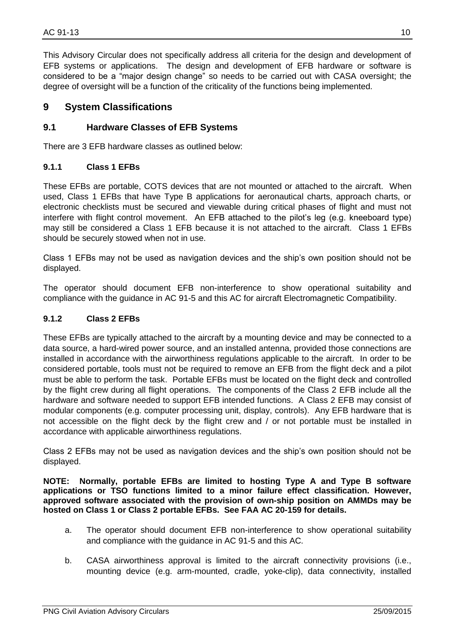This Advisory Circular does not specifically address all criteria for the design and development of EFB systems or applications. The design and development of EFB hardware or software is considered to be a "major design change" so needs to be carried out with CASA oversight; the degree of oversight will be a function of the criticality of the functions being implemented.

#### <span id="page-9-0"></span>**9 System Classifications**

#### <span id="page-9-1"></span>**9.1 Hardware Classes of EFB Systems**

There are 3 EFB hardware classes as outlined below:

#### <span id="page-9-2"></span>**9.1.1 Class 1 EFBs**

These EFBs are portable, COTS devices that are not mounted or attached to the aircraft. When used, Class 1 EFBs that have Type B applications for aeronautical charts, approach charts, or electronic checklists must be secured and viewable during critical phases of flight and must not interfere with flight control movement. An EFB attached to the pilot's leg (e.g. kneeboard type) may still be considered a Class 1 EFB because it is not attached to the aircraft. Class 1 EFBs should be securely stowed when not in use.

Class 1 EFBs may not be used as navigation devices and the ship's own position should not be displayed.

The operator should document EFB non-interference to show operational suitability and compliance with the guidance in AC 91-5 and this AC for aircraft Electromagnetic Compatibility.

#### <span id="page-9-3"></span>**9.1.2 Class 2 EFBs**

These EFBs are typically attached to the aircraft by a mounting device and may be connected to a data source, a hard-wired power source, and an installed antenna, provided those connections are installed in accordance with the airworthiness regulations applicable to the aircraft. In order to be considered portable, tools must not be required to remove an EFB from the flight deck and a pilot must be able to perform the task. Portable EFBs must be located on the flight deck and controlled by the flight crew during all flight operations. The components of the Class 2 EFB include all the hardware and software needed to support EFB intended functions. A Class 2 EFB may consist of modular components (e.g. computer processing unit, display, controls). Any EFB hardware that is not accessible on the flight deck by the flight crew and / or not portable must be installed in accordance with applicable airworthiness regulations.

Class 2 EFBs may not be used as navigation devices and the ship's own position should not be displayed.

**NOTE: Normally, portable EFBs are limited to hosting Type A and Type B software applications or TSO functions limited to a minor failure effect classification. However, approved software associated with the provision of own-ship position on AMMDs may be hosted on Class 1 or Class 2 portable EFBs. See FAA AC 20-159 for details.**

- a. The operator should document EFB non-interference to show operational suitability and compliance with the guidance in AC 91-5 and this AC.
- b. CASA airworthiness approval is limited to the aircraft connectivity provisions (i.e., mounting device (e.g. arm-mounted, cradle, yoke-clip), data connectivity, installed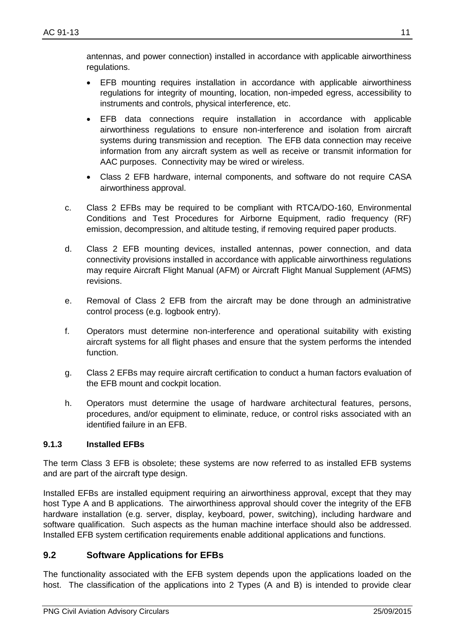antennas, and power connection) installed in accordance with applicable airworthiness regulations.

- EFB mounting requires installation in accordance with applicable airworthiness regulations for integrity of mounting, location, non-impeded egress, accessibility to instruments and controls, physical interference, etc.
- EFB data connections require installation in accordance with applicable airworthiness regulations to ensure non-interference and isolation from aircraft systems during transmission and reception. The EFB data connection may receive information from any aircraft system as well as receive or transmit information for AAC purposes. Connectivity may be wired or wireless.
- Class 2 EFB hardware, internal components, and software do not require CASA airworthiness approval.
- c. Class 2 EFBs may be required to be compliant with RTCA/DO-160, Environmental Conditions and Test Procedures for Airborne Equipment, radio frequency (RF) emission, decompression, and altitude testing, if removing required paper products.
- d. Class 2 EFB mounting devices, installed antennas, power connection, and data connectivity provisions installed in accordance with applicable airworthiness regulations may require Aircraft Flight Manual (AFM) or Aircraft Flight Manual Supplement (AFMS) revisions.
- e. Removal of Class 2 EFB from the aircraft may be done through an administrative control process (e.g. logbook entry).
- f. Operators must determine non-interference and operational suitability with existing aircraft systems for all flight phases and ensure that the system performs the intended function.
- g. Class 2 EFBs may require aircraft certification to conduct a human factors evaluation of the EFB mount and cockpit location.
- h. Operators must determine the usage of hardware architectural features, persons, procedures, and/or equipment to eliminate, reduce, or control risks associated with an identified failure in an EFB.

#### <span id="page-10-0"></span>**9.1.3 Installed EFBs**

The term Class 3 EFB is obsolete; these systems are now referred to as installed EFB systems and are part of the aircraft type design.

Installed EFBs are installed equipment requiring an airworthiness approval, except that they may host Type A and B applications. The airworthiness approval should cover the integrity of the EFB hardware installation (e.g. server, display, keyboard, power, switching), including hardware and software qualification. Such aspects as the human machine interface should also be addressed. Installed EFB system certification requirements enable additional applications and functions.

#### <span id="page-10-1"></span>**9.2 Software Applications for EFBs**

The functionality associated with the EFB system depends upon the applications loaded on the host. The classification of the applications into 2 Types (A and B) is intended to provide clear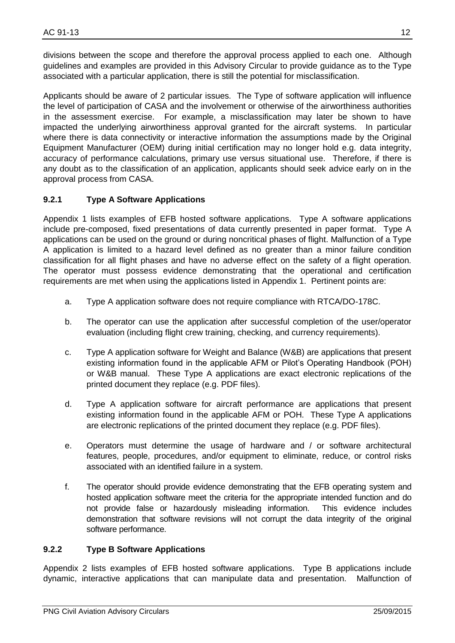divisions between the scope and therefore the approval process applied to each one. Although guidelines and examples are provided in this Advisory Circular to provide guidance as to the Type associated with a particular application, there is still the potential for misclassification.

Applicants should be aware of 2 particular issues. The Type of software application will influence the level of participation of CASA and the involvement or otherwise of the airworthiness authorities in the assessment exercise. For example, a misclassification may later be shown to have impacted the underlying airworthiness approval granted for the aircraft systems. In particular where there is data connectivity or interactive information the assumptions made by the Original Equipment Manufacturer (OEM) during initial certification may no longer hold e.g. data integrity, accuracy of performance calculations, primary use versus situational use. Therefore, if there is any doubt as to the classification of an application, applicants should seek advice early on in the approval process from CASA.

#### <span id="page-11-0"></span>**9.2.1 Type A Software Applications**

Appendix 1 lists examples of EFB hosted software applications. Type A software applications include pre-composed, fixed presentations of data currently presented in paper format. Type A applications can be used on the ground or during noncritical phases of flight. Malfunction of a Type A application is limited to a hazard level defined as no greater than a minor failure condition classification for all flight phases and have no adverse effect on the safety of a flight operation. The operator must possess evidence demonstrating that the operational and certification requirements are met when using the applications listed in Appendix 1. Pertinent points are:

- a. Type A application software does not require compliance with RTCA/DO-178C.
- b. The operator can use the application after successful completion of the user/operator evaluation (including flight crew training, checking, and currency requirements).
- c. Type A application software for Weight and Balance (W&B) are applications that present existing information found in the applicable AFM or Pilot's Operating Handbook (POH) or W&B manual. These Type A applications are exact electronic replications of the printed document they replace (e.g. PDF files).
- d. Type A application software for aircraft performance are applications that present existing information found in the applicable AFM or POH. These Type A applications are electronic replications of the printed document they replace (e.g. PDF files).
- e. Operators must determine the usage of hardware and / or software architectural features, people, procedures, and/or equipment to eliminate, reduce, or control risks associated with an identified failure in a system.
- f. The operator should provide evidence demonstrating that the EFB operating system and hosted application software meet the criteria for the appropriate intended function and do not provide false or hazardously misleading information. This evidence includes demonstration that software revisions will not corrupt the data integrity of the original software performance.

#### <span id="page-11-1"></span>**9.2.2 Type B Software Applications**

Appendix 2 lists examples of EFB hosted software applications. Type B applications include dynamic, interactive applications that can manipulate data and presentation. Malfunction of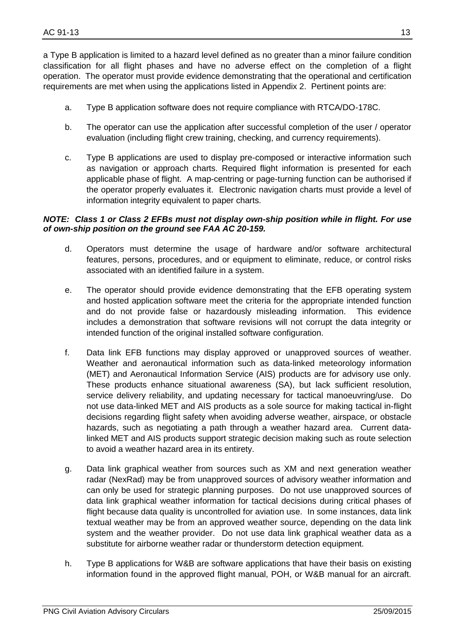a Type B application is limited to a hazard level defined as no greater than a minor failure condition classification for all flight phases and have no adverse effect on the completion of a flight operation. The operator must provide evidence demonstrating that the operational and certification requirements are met when using the applications listed in Appendix 2. Pertinent points are:

- a. Type B application software does not require compliance with RTCA/DO-178C.
- b. The operator can use the application after successful completion of the user / operator evaluation (including flight crew training, checking, and currency requirements).
- c. Type B applications are used to display pre-composed or interactive information such as navigation or approach charts. Required flight information is presented for each applicable phase of flight. A map-centring or page-turning function can be authorised if the operator properly evaluates it. Electronic navigation charts must provide a level of information integrity equivalent to paper charts.

#### *NOTE: Class 1 or Class 2 EFBs must not display own-ship position while in flight. For use of own-ship position on the ground see FAA AC 20-159.*

- d. Operators must determine the usage of hardware and/or software architectural features, persons, procedures, and or equipment to eliminate, reduce, or control risks associated with an identified failure in a system.
- e. The operator should provide evidence demonstrating that the EFB operating system and hosted application software meet the criteria for the appropriate intended function and do not provide false or hazardously misleading information. This evidence includes a demonstration that software revisions will not corrupt the data integrity or intended function of the original installed software configuration.
- f. Data link EFB functions may display approved or unapproved sources of weather. Weather and aeronautical information such as data-linked meteorology information (MET) and Aeronautical Information Service (AIS) products are for advisory use only. These products enhance situational awareness (SA), but lack sufficient resolution, service delivery reliability, and updating necessary for tactical manoeuvring/use. Do not use data-linked MET and AIS products as a sole source for making tactical in-flight decisions regarding flight safety when avoiding adverse weather, airspace, or obstacle hazards, such as negotiating a path through a weather hazard area. Current datalinked MET and AIS products support strategic decision making such as route selection to avoid a weather hazard area in its entirety.
- g. Data link graphical weather from sources such as XM and next generation weather radar (NexRad) may be from unapproved sources of advisory weather information and can only be used for strategic planning purposes. Do not use unapproved sources of data link graphical weather information for tactical decisions during critical phases of flight because data quality is uncontrolled for aviation use. In some instances, data link textual weather may be from an approved weather source, depending on the data link system and the weather provider. Do not use data link graphical weather data as a substitute for airborne weather radar or thunderstorm detection equipment.
- h. Type B applications for W&B are software applications that have their basis on existing information found in the approved flight manual, POH, or W&B manual for an aircraft.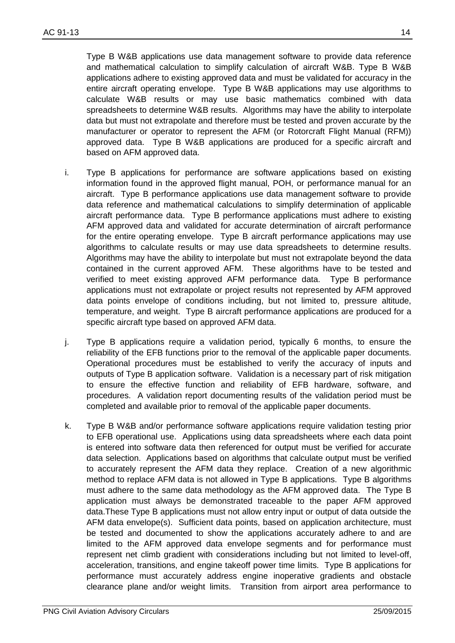Type B W&B applications use data management software to provide data reference and mathematical calculation to simplify calculation of aircraft W&B. Type B W&B applications adhere to existing approved data and must be validated for accuracy in the entire aircraft operating envelope. Type B W&B applications may use algorithms to calculate W&B results or may use basic mathematics combined with data spreadsheets to determine W&B results. Algorithms may have the ability to interpolate data but must not extrapolate and therefore must be tested and proven accurate by the manufacturer or operator to represent the AFM (or Rotorcraft Flight Manual (RFM)) approved data. Type B W&B applications are produced for a specific aircraft and based on AFM approved data.

- i. Type B applications for performance are software applications based on existing information found in the approved flight manual, POH, or performance manual for an aircraft. Type B performance applications use data management software to provide data reference and mathematical calculations to simplify determination of applicable aircraft performance data. Type B performance applications must adhere to existing AFM approved data and validated for accurate determination of aircraft performance for the entire operating envelope. Type B aircraft performance applications may use algorithms to calculate results or may use data spreadsheets to determine results. Algorithms may have the ability to interpolate but must not extrapolate beyond the data contained in the current approved AFM. These algorithms have to be tested and verified to meet existing approved AFM performance data. Type B performance applications must not extrapolate or project results not represented by AFM approved data points envelope of conditions including, but not limited to, pressure altitude, temperature, and weight. Type B aircraft performance applications are produced for a specific aircraft type based on approved AFM data.
- j. Type B applications require a validation period, typically 6 months, to ensure the reliability of the EFB functions prior to the removal of the applicable paper documents. Operational procedures must be established to verify the accuracy of inputs and outputs of Type B application software. Validation is a necessary part of risk mitigation to ensure the effective function and reliability of EFB hardware, software, and procedures. A validation report documenting results of the validation period must be completed and available prior to removal of the applicable paper documents.
- k. Type B W&B and/or performance software applications require validation testing prior to EFB operational use. Applications using data spreadsheets where each data point is entered into software data then referenced for output must be verified for accurate data selection. Applications based on algorithms that calculate output must be verified to accurately represent the AFM data they replace. Creation of a new algorithmic method to replace AFM data is not allowed in Type B applications. Type B algorithms must adhere to the same data methodology as the AFM approved data. The Type B application must always be demonstrated traceable to the paper AFM approved data.These Type B applications must not allow entry input or output of data outside the AFM data envelope(s). Sufficient data points, based on application architecture, must be tested and documented to show the applications accurately adhere to and are limited to the AFM approved data envelope segments and for performance must represent net climb gradient with considerations including but not limited to level-off, acceleration, transitions, and engine takeoff power time limits. Type B applications for performance must accurately address engine inoperative gradients and obstacle clearance plane and/or weight limits. Transition from airport area performance to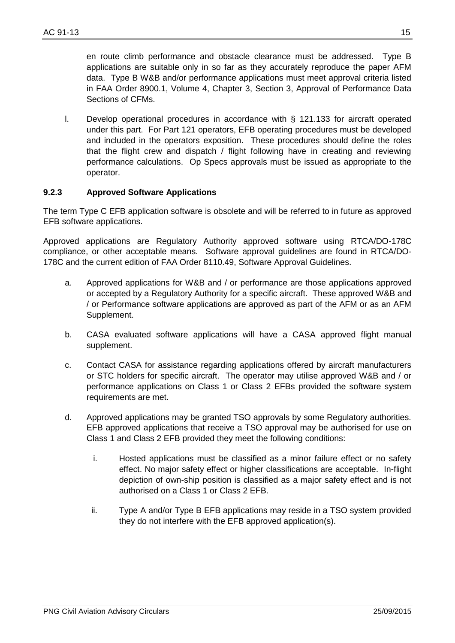en route climb performance and obstacle clearance must be addressed. Type B applications are suitable only in so far as they accurately reproduce the paper AFM data. Type B W&B and/or performance applications must meet approval criteria listed in FAA Order 8900.1, Volume 4, Chapter 3, Section 3, Approval of Performance Data Sections of CFMs.

l. Develop operational procedures in accordance with § 121.133 for aircraft operated under this part. For Part 121 operators, EFB operating procedures must be developed and included in the operators exposition. These procedures should define the roles that the flight crew and dispatch / flight following have in creating and reviewing performance calculations. Op Specs approvals must be issued as appropriate to the operator.

#### <span id="page-14-0"></span>**9.2.3 Approved Software Applications**

The term Type C EFB application software is obsolete and will be referred to in future as approved EFB software applications.

Approved applications are Regulatory Authority approved software using RTCA/DO-178C compliance, or other acceptable means. Software approval guidelines are found in RTCA/DO-178C and the current edition of FAA Order 8110.49, Software Approval Guidelines.

- a. Approved applications for W&B and / or performance are those applications approved or accepted by a Regulatory Authority for a specific aircraft. These approved W&B and / or Performance software applications are approved as part of the AFM or as an AFM Supplement.
- b. CASA evaluated software applications will have a CASA approved flight manual supplement.
- c. Contact CASA for assistance regarding applications offered by aircraft manufacturers or STC holders for specific aircraft. The operator may utilise approved W&B and / or performance applications on Class 1 or Class 2 EFBs provided the software system requirements are met.
- d. Approved applications may be granted TSO approvals by some Regulatory authorities. EFB approved applications that receive a TSO approval may be authorised for use on Class 1 and Class 2 EFB provided they meet the following conditions:
	- i. Hosted applications must be classified as a minor failure effect or no safety effect. No major safety effect or higher classifications are acceptable. In-flight depiction of own-ship position is classified as a major safety effect and is not authorised on a Class 1 or Class 2 EFB.
	- ii. Type A and/or Type B EFB applications may reside in a TSO system provided they do not interfere with the EFB approved application(s).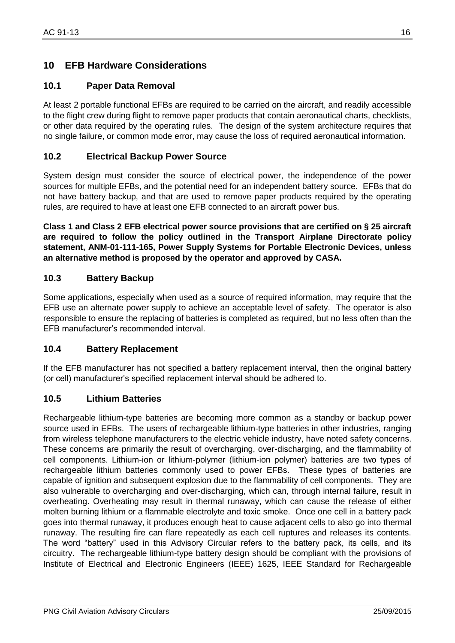# <span id="page-15-0"></span>**10 EFB Hardware Considerations**

#### <span id="page-15-1"></span>**10.1 Paper Data Removal**

At least 2 portable functional EFBs are required to be carried on the aircraft, and readily accessible to the flight crew during flight to remove paper products that contain aeronautical charts, checklists, or other data required by the operating rules. The design of the system architecture requires that no single failure, or common mode error, may cause the loss of required aeronautical information.

#### <span id="page-15-2"></span>**10.2 Electrical Backup Power Source**

System design must consider the source of electrical power, the independence of the power sources for multiple EFBs, and the potential need for an independent battery source. EFBs that do not have battery backup, and that are used to remove paper products required by the operating rules, are required to have at least one EFB connected to an aircraft power bus.

**Class 1 and Class 2 EFB electrical power source provisions that are certified on § 25 aircraft are required to follow the policy outlined in the Transport Airplane Directorate policy statement, ANM-01-111-165, Power Supply Systems for Portable Electronic Devices, unless an alternative method is proposed by the operator and approved by CASA.**

#### <span id="page-15-3"></span>**10.3 Battery Backup**

Some applications, especially when used as a source of required information, may require that the EFB use an alternate power supply to achieve an acceptable level of safety. The operator is also responsible to ensure the replacing of batteries is completed as required, but no less often than the EFB manufacturer's recommended interval.

#### <span id="page-15-4"></span>**10.4 Battery Replacement**

If the EFB manufacturer has not specified a battery replacement interval, then the original battery (or cell) manufacturer's specified replacement interval should be adhered to.

#### <span id="page-15-5"></span>**10.5 Lithium Batteries**

Rechargeable lithium-type batteries are becoming more common as a standby or backup power source used in EFBs. The users of rechargeable lithium-type batteries in other industries, ranging from wireless telephone manufacturers to the electric vehicle industry, have noted safety concerns. These concerns are primarily the result of overcharging, over-discharging, and the flammability of cell components. Lithium-ion or lithium-polymer (lithium-ion polymer) batteries are two types of rechargeable lithium batteries commonly used to power EFBs. These types of batteries are capable of ignition and subsequent explosion due to the flammability of cell components. They are also vulnerable to overcharging and over-discharging, which can, through internal failure, result in overheating. Overheating may result in thermal runaway, which can cause the release of either molten burning lithium or a flammable electrolyte and toxic smoke. Once one cell in a battery pack goes into thermal runaway, it produces enough heat to cause adjacent cells to also go into thermal runaway. The resulting fire can flare repeatedly as each cell ruptures and releases its contents. The word "battery" used in this Advisory Circular refers to the battery pack, its cells, and its circuitry. The rechargeable lithium-type battery design should be compliant with the provisions of Institute of Electrical and Electronic Engineers (IEEE) 1625, IEEE Standard for Rechargeable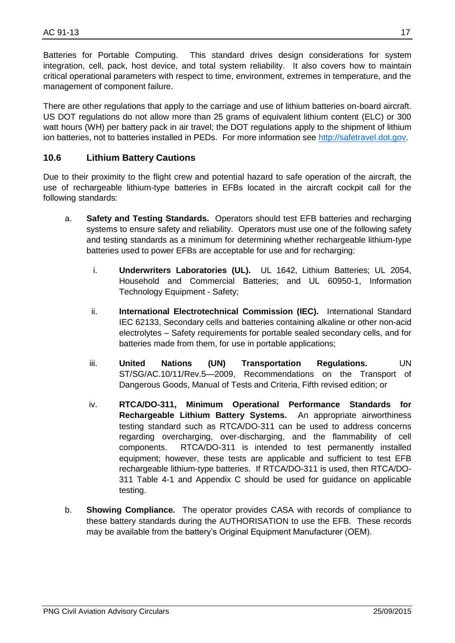Batteries for Portable Computing. This standard drives design considerations for system integration, cell, pack, host device, and total system reliability. It also covers how to maintain critical operational parameters with respect to time, environment, extremes in temperature, and the management of component failure.

There are other regulations that apply to the carriage and use of lithium batteries on-board aircraft. US DOT regulations do not allow more than 25 grams of equivalent lithium content (ELC) or 300 watt hours (WH) per battery pack in air travel; the DOT regulations apply to the shipment of lithium ion batteries, not to batteries installed in PEDs. For more information see [http://safetravel.dot.gov.](http://safetravel.dot.gov/)

#### <span id="page-16-0"></span>**10.6 Lithium Battery Cautions**

Due to their proximity to the flight crew and potential hazard to safe operation of the aircraft, the use of rechargeable lithium-type batteries in EFBs located in the aircraft cockpit call for the following standards:

- a. **Safety and Testing Standards.** Operators should test EFB batteries and recharging systems to ensure safety and reliability. Operators must use one of the following safety and testing standards as a minimum for determining whether rechargeable lithium-type batteries used to power EFBs are acceptable for use and for recharging:
	- i. **Underwriters Laboratories (UL).** UL 1642, Lithium Batteries; UL 2054, Household and Commercial Batteries; and UL 60950-1, Information Technology Equipment - Safety;
	- ii. **International Electrotechnical Commission (IEC).** International Standard IEC 62133, Secondary cells and batteries containing alkaline or other non-acid electrolytes – Safety requirements for portable sealed secondary cells, and for batteries made from them, for use in portable applications;
	- iii. **United Nations (UN) Transportation Regulations.** UN ST/SG/AC.10/11/Rev.5—2009, Recommendations on the Transport of Dangerous Goods, Manual of Tests and Criteria, Fifth revised edition; or
	- iv. **RTCA/DO-311, Minimum Operational Performance Standards for Rechargeable Lithium Battery Systems.** An appropriate airworthiness testing standard such as RTCA/DO-311 can be used to address concerns regarding overcharging, over-discharging, and the flammability of cell components. RTCA/DO-311 is intended to test permanently installed equipment; however, these tests are applicable and sufficient to test EFB rechargeable lithium-type batteries. If RTCA/DO-311 is used, then RTCA/DO-311 Table 4-1 and Appendix C should be used for guidance on applicable testing.
- b. **Showing Compliance.** The operator provides CASA with records of compliance to these battery standards during the AUTHORISATION to use the EFB. These records may be available from the battery's Original Equipment Manufacturer (OEM).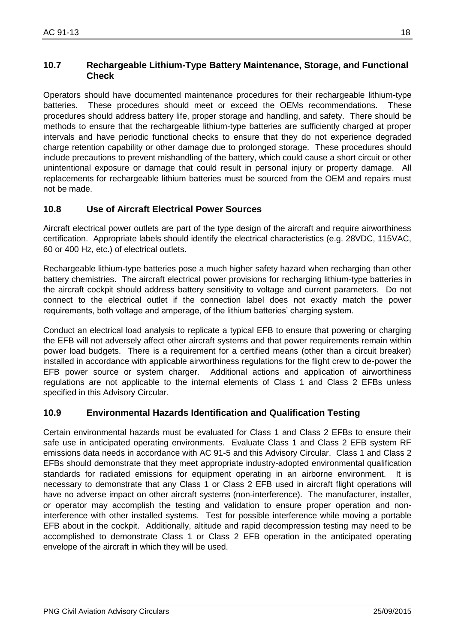#### <span id="page-17-0"></span>**10.7 Rechargeable Lithium-Type Battery Maintenance, Storage, and Functional Check**

Operators should have documented maintenance procedures for their rechargeable lithium-type batteries. These procedures should meet or exceed the OEMs recommendations. These procedures should address battery life, proper storage and handling, and safety. There should be methods to ensure that the rechargeable lithium-type batteries are sufficiently charged at proper intervals and have periodic functional checks to ensure that they do not experience degraded charge retention capability or other damage due to prolonged storage. These procedures should include precautions to prevent mishandling of the battery, which could cause a short circuit or other unintentional exposure or damage that could result in personal injury or property damage. All replacements for rechargeable lithium batteries must be sourced from the OEM and repairs must not be made.

#### <span id="page-17-1"></span>**10.8 Use of Aircraft Electrical Power Sources**

Aircraft electrical power outlets are part of the type design of the aircraft and require airworthiness certification. Appropriate labels should identify the electrical characteristics (e.g. 28VDC, 115VAC, 60 or 400 Hz, etc.) of electrical outlets.

Rechargeable lithium-type batteries pose a much higher safety hazard when recharging than other battery chemistries. The aircraft electrical power provisions for recharging lithium-type batteries in the aircraft cockpit should address battery sensitivity to voltage and current parameters. Do not connect to the electrical outlet if the connection label does not exactly match the power requirements, both voltage and amperage, of the lithium batteries' charging system.

Conduct an electrical load analysis to replicate a typical EFB to ensure that powering or charging the EFB will not adversely affect other aircraft systems and that power requirements remain within power load budgets. There is a requirement for a certified means (other than a circuit breaker) installed in accordance with applicable airworthiness regulations for the flight crew to de-power the EFB power source or system charger. Additional actions and application of airworthiness regulations are not applicable to the internal elements of Class 1 and Class 2 EFBs unless specified in this Advisory Circular.

#### <span id="page-17-2"></span>**10.9 Environmental Hazards Identification and Qualification Testing**

Certain environmental hazards must be evaluated for Class 1 and Class 2 EFBs to ensure their safe use in anticipated operating environments. Evaluate Class 1 and Class 2 EFB system RF emissions data needs in accordance with AC 91-5 and this Advisory Circular. Class 1 and Class 2 EFBs should demonstrate that they meet appropriate industry-adopted environmental qualification standards for radiated emissions for equipment operating in an airborne environment. It is necessary to demonstrate that any Class 1 or Class 2 EFB used in aircraft flight operations will have no adverse impact on other aircraft systems (non-interference). The manufacturer, installer, or operator may accomplish the testing and validation to ensure proper operation and noninterference with other installed systems. Test for possible interference while moving a portable EFB about in the cockpit. Additionally, altitude and rapid decompression testing may need to be accomplished to demonstrate Class 1 or Class 2 EFB operation in the anticipated operating envelope of the aircraft in which they will be used.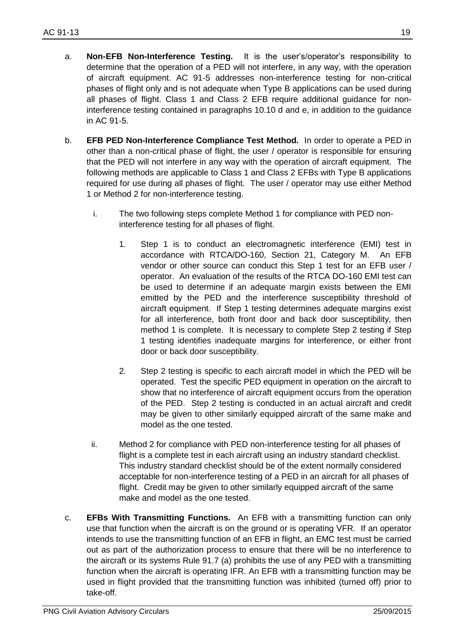- a. **Non-EFB Non-Interference Testing.** It is the user's/operator's responsibility to determine that the operation of a PED will not interfere, in any way, with the operation of aircraft equipment. AC 91-5 addresses non-interference testing for non-critical phases of flight only and is not adequate when Type B applications can be used during all phases of flight. Class 1 and Class 2 EFB require additional guidance for noninterference testing contained in paragraphs 10.10 d and e, in addition to the guidance in AC 91-5.
- b. **EFB PED Non-Interference Compliance Test Method.** In order to operate a PED in other than a non-critical phase of flight, the user / operator is responsible for ensuring that the PED will not interfere in any way with the operation of aircraft equipment. The following methods are applicable to Class 1 and Class 2 EFBs with Type B applications required for use during all phases of flight. The user / operator may use either Method 1 or Method 2 for non-interference testing.
	- i. The two following steps complete Method 1 for compliance with PED noninterference testing for all phases of flight.
		- 1. Step 1 is to conduct an electromagnetic interference (EMI) test in accordance with RTCA/DO-160, Section 21, Category M. An EFB vendor or other source can conduct this Step 1 test for an EFB user / operator. An evaluation of the results of the RTCA DO-160 EMI test can be used to determine if an adequate margin exists between the EMI emitted by the PED and the interference susceptibility threshold of aircraft equipment. If Step 1 testing determines adequate margins exist for all interference, both front door and back door susceptibility, then method 1 is complete. It is necessary to complete Step 2 testing if Step 1 testing identifies inadequate margins for interference, or either front door or back door susceptibility.
		- 2. Step 2 testing is specific to each aircraft model in which the PED will be operated. Test the specific PED equipment in operation on the aircraft to show that no interference of aircraft equipment occurs from the operation of the PED. Step 2 testing is conducted in an actual aircraft and credit may be given to other similarly equipped aircraft of the same make and model as the one tested.
	- ii. Method 2 for compliance with PED non-interference testing for all phases of flight is a complete test in each aircraft using an industry standard checklist. This industry standard checklist should be of the extent normally considered acceptable for non-interference testing of a PED in an aircraft for all phases of flight. Credit may be given to other similarly equipped aircraft of the same make and model as the one tested.
- c. **EFBs With Transmitting Functions.** An EFB with a transmitting function can only use that function when the aircraft is on the ground or is operating VFR. If an operator intends to use the transmitting function of an EFB in flight, an EMC test must be carried out as part of the authorization process to ensure that there will be no interference to the aircraft or its systems Rule 91.7 (a) prohibits the use of any PED with a transmitting function when the aircraft is operating IFR. An EFB with a transmitting function may be used in flight provided that the transmitting function was inhibited (turned off) prior to take-off.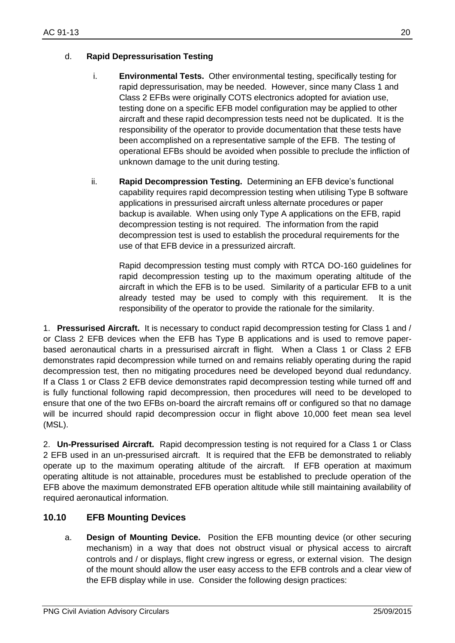#### d. **Rapid Depressurisation Testing**

- i. **Environmental Tests.** Other environmental testing, specifically testing for rapid depressurisation, may be needed. However, since many Class 1 and Class 2 EFBs were originally COTS electronics adopted for aviation use, testing done on a specific EFB model configuration may be applied to other aircraft and these rapid decompression tests need not be duplicated. It is the responsibility of the operator to provide documentation that these tests have been accomplished on a representative sample of the EFB. The testing of operational EFBs should be avoided when possible to preclude the infliction of unknown damage to the unit during testing.
- ii. **Rapid Decompression Testing.** Determining an EFB device's functional capability requires rapid decompression testing when utilising Type B software applications in pressurised aircraft unless alternate procedures or paper backup is available. When using only Type A applications on the EFB, rapid decompression testing is not required. The information from the rapid decompression test is used to establish the procedural requirements for the use of that EFB device in a pressurized aircraft.

Rapid decompression testing must comply with RTCA DO-160 guidelines for rapid decompression testing up to the maximum operating altitude of the aircraft in which the EFB is to be used. Similarity of a particular EFB to a unit already tested may be used to comply with this requirement. It is the responsibility of the operator to provide the rationale for the similarity.

1. **Pressurised Aircraft.** It is necessary to conduct rapid decompression testing for Class 1 and / or Class 2 EFB devices when the EFB has Type B applications and is used to remove paperbased aeronautical charts in a pressurised aircraft in flight. When a Class 1 or Class 2 EFB demonstrates rapid decompression while turned on and remains reliably operating during the rapid decompression test, then no mitigating procedures need be developed beyond dual redundancy. If a Class 1 or Class 2 EFB device demonstrates rapid decompression testing while turned off and is fully functional following rapid decompression, then procedures will need to be developed to ensure that one of the two EFBs on-board the aircraft remains off or configured so that no damage will be incurred should rapid decompression occur in flight above 10,000 feet mean sea level (MSL).

2. **Un-Pressurised Aircraft.** Rapid decompression testing is not required for a Class 1 or Class 2 EFB used in an un-pressurised aircraft. It is required that the EFB be demonstrated to reliably operate up to the maximum operating altitude of the aircraft. If EFB operation at maximum operating altitude is not attainable, procedures must be established to preclude operation of the EFB above the maximum demonstrated EFB operation altitude while still maintaining availability of required aeronautical information.

### <span id="page-19-0"></span>**10.10 EFB Mounting Devices**

a. **Design of Mounting Device.** Position the EFB mounting device (or other securing mechanism) in a way that does not obstruct visual or physical access to aircraft controls and / or displays, flight crew ingress or egress, or external vision. The design of the mount should allow the user easy access to the EFB controls and a clear view of the EFB display while in use. Consider the following design practices: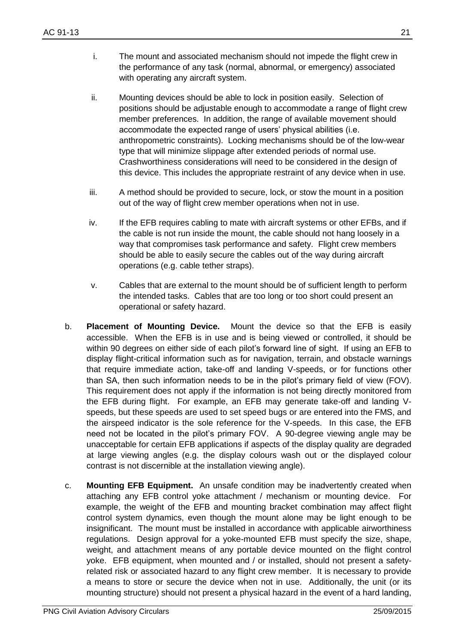- i. The mount and associated mechanism should not impede the flight crew in the performance of any task (normal, abnormal, or emergency) associated with operating any aircraft system.
- ii. Mounting devices should be able to lock in position easily. Selection of positions should be adjustable enough to accommodate a range of flight crew member preferences. In addition, the range of available movement should accommodate the expected range of users' physical abilities (i.e. anthropometric constraints). Locking mechanisms should be of the low-wear type that will minimize slippage after extended periods of normal use. Crashworthiness considerations will need to be considered in the design of this device. This includes the appropriate restraint of any device when in use.
- iii. A method should be provided to secure, lock, or stow the mount in a position out of the way of flight crew member operations when not in use.
- iv. If the EFB requires cabling to mate with aircraft systems or other EFBs, and if the cable is not run inside the mount, the cable should not hang loosely in a way that compromises task performance and safety. Flight crew members should be able to easily secure the cables out of the way during aircraft operations (e.g. cable tether straps).
- v. Cables that are external to the mount should be of sufficient length to perform the intended tasks. Cables that are too long or too short could present an operational or safety hazard.
- b. **Placement of Mounting Device.** Mount the device so that the EFB is easily accessible. When the EFB is in use and is being viewed or controlled, it should be within 90 degrees on either side of each pilot's forward line of sight. If using an EFB to display flight-critical information such as for navigation, terrain, and obstacle warnings that require immediate action, take-off and landing V-speeds, or for functions other than SA, then such information needs to be in the pilot's primary field of view (FOV). This requirement does not apply if the information is not being directly monitored from the EFB during flight. For example, an EFB may generate take-off and landing Vspeeds, but these speeds are used to set speed bugs or are entered into the FMS, and the airspeed indicator is the sole reference for the V-speeds. In this case, the EFB need not be located in the pilot's primary FOV. A 90-degree viewing angle may be unacceptable for certain EFB applications if aspects of the display quality are degraded at large viewing angles (e.g. the display colours wash out or the displayed colour contrast is not discernible at the installation viewing angle).
- c. **Mounting EFB Equipment.** An unsafe condition may be inadvertently created when attaching any EFB control yoke attachment / mechanism or mounting device. For example, the weight of the EFB and mounting bracket combination may affect flight control system dynamics, even though the mount alone may be light enough to be insignificant. The mount must be installed in accordance with applicable airworthiness regulations. Design approval for a yoke-mounted EFB must specify the size, shape, weight, and attachment means of any portable device mounted on the flight control yoke. EFB equipment, when mounted and / or installed, should not present a safetyrelated risk or associated hazard to any flight crew member. It is necessary to provide a means to store or secure the device when not in use. Additionally, the unit (or its mounting structure) should not present a physical hazard in the event of a hard landing,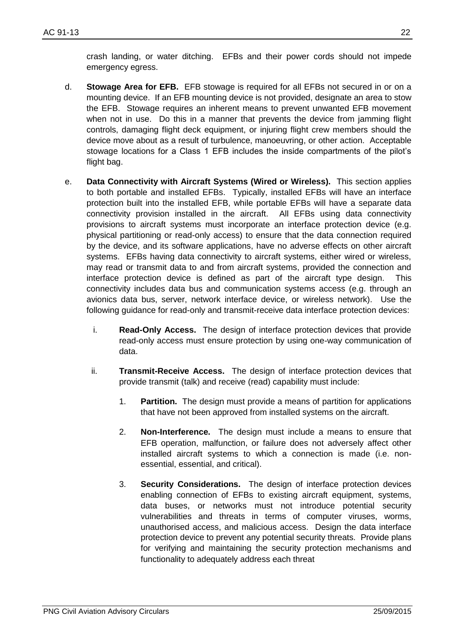crash landing, or water ditching. EFBs and their power cords should not impede emergency egress.

- d. **Stowage Area for EFB.** EFB stowage is required for all EFBs not secured in or on a mounting device. If an EFB mounting device is not provided, designate an area to stow the EFB. Stowage requires an inherent means to prevent unwanted EFB movement when not in use. Do this in a manner that prevents the device from jamming flight controls, damaging flight deck equipment, or injuring flight crew members should the device move about as a result of turbulence, manoeuvring, or other action. Acceptable stowage locations for a Class 1 EFB includes the inside compartments of the pilot's flight bag.
- e. **Data Connectivity with Aircraft Systems (Wired or Wireless).** This section applies to both portable and installed EFBs. Typically, installed EFBs will have an interface protection built into the installed EFB, while portable EFBs will have a separate data connectivity provision installed in the aircraft. All EFBs using data connectivity provisions to aircraft systems must incorporate an interface protection device (e.g. physical partitioning or read-only access) to ensure that the data connection required by the device, and its software applications, have no adverse effects on other aircraft systems. EFBs having data connectivity to aircraft systems, either wired or wireless, may read or transmit data to and from aircraft systems, provided the connection and interface protection device is defined as part of the aircraft type design. This connectivity includes data bus and communication systems access (e.g. through an avionics data bus, server, network interface device, or wireless network). Use the following guidance for read-only and transmit-receive data interface protection devices:
	- i. **Read-Only Access.** The design of interface protection devices that provide read-only access must ensure protection by using one-way communication of data.
	- ii. **Transmit-Receive Access.** The design of interface protection devices that provide transmit (talk) and receive (read) capability must include:
		- 1. **Partition.** The design must provide a means of partition for applications that have not been approved from installed systems on the aircraft.
		- 2. **Non-Interference.** The design must include a means to ensure that EFB operation, malfunction, or failure does not adversely affect other installed aircraft systems to which a connection is made (i.e. nonessential, essential, and critical).
		- 3. **Security Considerations.** The design of interface protection devices enabling connection of EFBs to existing aircraft equipment, systems, data buses, or networks must not introduce potential security vulnerabilities and threats in terms of computer viruses, worms, unauthorised access, and malicious access. Design the data interface protection device to prevent any potential security threats. Provide plans for verifying and maintaining the security protection mechanisms and functionality to adequately address each threat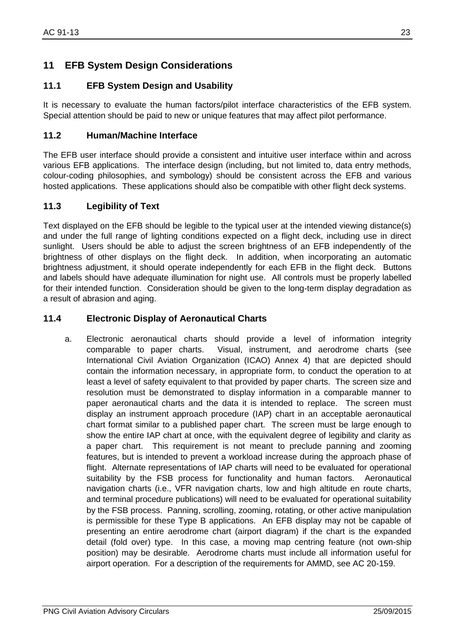#### <span id="page-22-1"></span><span id="page-22-0"></span>**11.1 EFB System Design and Usability**

It is necessary to evaluate the human factors/pilot interface characteristics of the EFB system. Special attention should be paid to new or unique features that may affect pilot performance.

#### <span id="page-22-2"></span>**11.2 Human/Machine Interface**

The EFB user interface should provide a consistent and intuitive user interface within and across various EFB applications. The interface design (including, but not limited to, data entry methods, colour-coding philosophies, and symbology) should be consistent across the EFB and various hosted applications. These applications should also be compatible with other flight deck systems.

#### <span id="page-22-3"></span>**11.3 Legibility of Text**

Text displayed on the EFB should be legible to the typical user at the intended viewing distance(s) and under the full range of lighting conditions expected on a flight deck, including use in direct sunlight. Users should be able to adjust the screen brightness of an EFB independently of the brightness of other displays on the flight deck. In addition, when incorporating an automatic brightness adjustment, it should operate independently for each EFB in the flight deck. Buttons and labels should have adequate illumination for night use. All controls must be properly labelled for their intended function. Consideration should be given to the long-term display degradation as a result of abrasion and aging.

#### <span id="page-22-4"></span>**11.4 Electronic Display of Aeronautical Charts**

a. Electronic aeronautical charts should provide a level of information integrity comparable to paper charts. Visual, instrument, and aerodrome charts (see International Civil Aviation Organization (ICAO) Annex 4) that are depicted should contain the information necessary, in appropriate form, to conduct the operation to at least a level of safety equivalent to that provided by paper charts. The screen size and resolution must be demonstrated to display information in a comparable manner to paper aeronautical charts and the data it is intended to replace. The screen must display an instrument approach procedure (IAP) chart in an acceptable aeronautical chart format similar to a published paper chart. The screen must be large enough to show the entire IAP chart at once, with the equivalent degree of legibility and clarity as a paper chart. This requirement is not meant to preclude panning and zooming features, but is intended to prevent a workload increase during the approach phase of flight. Alternate representations of IAP charts will need to be evaluated for operational suitability by the FSB process for functionality and human factors. Aeronautical navigation charts (i.e., VFR navigation charts, low and high altitude en route charts, and terminal procedure publications) will need to be evaluated for operational suitability by the FSB process. Panning, scrolling, zooming, rotating, or other active manipulation is permissible for these Type B applications. An EFB display may not be capable of presenting an entire aerodrome chart (airport diagram) if the chart is the expanded detail (fold over) type. In this case, a moving map centring feature (not own-ship position) may be desirable. Aerodrome charts must include all information useful for airport operation. For a description of the requirements for AMMD, see AC 20-159.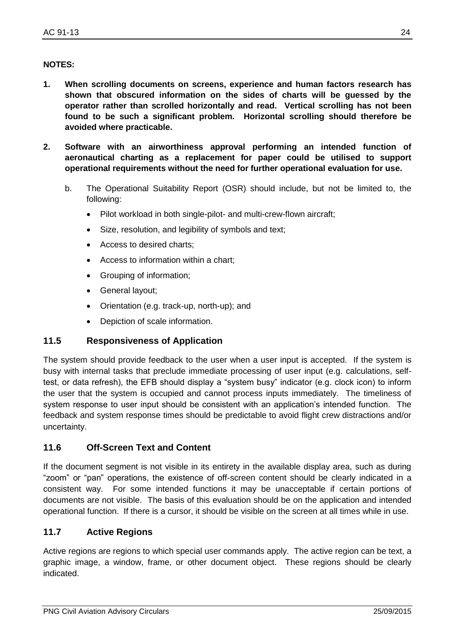#### **NOTES:**

- **1. When scrolling documents on screens, experience and human factors research has shown that obscured information on the sides of charts will be guessed by the operator rather than scrolled horizontally and read. Vertical scrolling has not been found to be such a significant problem. Horizontal scrolling should therefore be avoided where practicable.**
- **2. Software with an airworthiness approval performing an intended function of aeronautical charting as a replacement for paper could be utilised to support operational requirements without the need for further operational evaluation for use.**
	- b. The Operational Suitability Report (OSR) should include, but not be limited to, the following:
		- Pilot workload in both single-pilot- and multi-crew-flown aircraft:
		- Size, resolution, and legibility of symbols and text;
		- Access to desired charts;
		- Access to information within a chart:
		- Grouping of information;
		- General layout;
		- Orientation (e.g. track-up, north-up); and
		- Depiction of scale information.

#### <span id="page-23-0"></span>**11.5 Responsiveness of Application**

The system should provide feedback to the user when a user input is accepted. If the system is busy with internal tasks that preclude immediate processing of user input (e.g. calculations, selftest, or data refresh), the EFB should display a "system busy" indicator (e.g. clock icon) to inform the user that the system is occupied and cannot process inputs immediately. The timeliness of system response to user input should be consistent with an application's intended function. The feedback and system response times should be predictable to avoid flight crew distractions and/or uncertainty.

#### <span id="page-23-1"></span>**11.6 Off-Screen Text and Content**

If the document segment is not visible in its entirety in the available display area, such as during "zoom" or "pan" operations, the existence of off-screen content should be clearly indicated in a consistent way. For some intended functions it may be unacceptable if certain portions of documents are not visible. The basis of this evaluation should be on the application and intended operational function. If there is a cursor, it should be visible on the screen at all times while in use.

#### <span id="page-23-2"></span>**11.7 Active Regions**

Active regions are regions to which special user commands apply. The active region can be text, a graphic image, a window, frame, or other document object. These regions should be clearly indicated.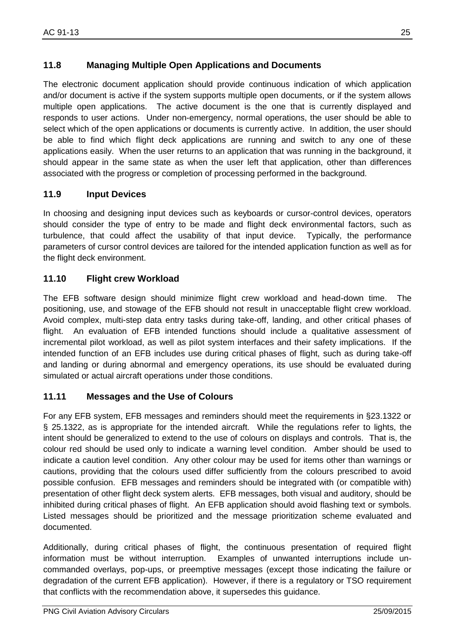### <span id="page-24-0"></span>**11.8 Managing Multiple Open Applications and Documents**

The electronic document application should provide continuous indication of which application and/or document is active if the system supports multiple open documents, or if the system allows multiple open applications. The active document is the one that is currently displayed and responds to user actions. Under non-emergency, normal operations, the user should be able to select which of the open applications or documents is currently active. In addition, the user should be able to find which flight deck applications are running and switch to any one of these applications easily. When the user returns to an application that was running in the background, it should appear in the same state as when the user left that application, other than differences associated with the progress or completion of processing performed in the background.

### <span id="page-24-1"></span>**11.9 Input Devices**

In choosing and designing input devices such as keyboards or cursor-control devices, operators should consider the type of entry to be made and flight deck environmental factors, such as turbulence, that could affect the usability of that input device. Typically, the performance parameters of cursor control devices are tailored for the intended application function as well as for the flight deck environment.

#### <span id="page-24-2"></span>**11.10 Flight crew Workload**

The EFB software design should minimize flight crew workload and head-down time. The positioning, use, and stowage of the EFB should not result in unacceptable flight crew workload. Avoid complex, multi-step data entry tasks during take-off, landing, and other critical phases of flight. An evaluation of EFB intended functions should include a qualitative assessment of incremental pilot workload, as well as pilot system interfaces and their safety implications. If the intended function of an EFB includes use during critical phases of flight, such as during take-off and landing or during abnormal and emergency operations, its use should be evaluated during simulated or actual aircraft operations under those conditions.

#### <span id="page-24-3"></span>**11.11 Messages and the Use of Colours**

For any EFB system, EFB messages and reminders should meet the requirements in §23.1322 or § 25.1322, as is appropriate for the intended aircraft. While the regulations refer to lights, the intent should be generalized to extend to the use of colours on displays and controls. That is, the colour red should be used only to indicate a warning level condition. Amber should be used to indicate a caution level condition. Any other colour may be used for items other than warnings or cautions, providing that the colours used differ sufficiently from the colours prescribed to avoid possible confusion. EFB messages and reminders should be integrated with (or compatible with) presentation of other flight deck system alerts. EFB messages, both visual and auditory, should be inhibited during critical phases of flight. An EFB application should avoid flashing text or symbols. Listed messages should be prioritized and the message prioritization scheme evaluated and documented.

Additionally, during critical phases of flight, the continuous presentation of required flight information must be without interruption. Examples of unwanted interruptions include uncommanded overlays, pop-ups, or preemptive messages (except those indicating the failure or degradation of the current EFB application). However, if there is a regulatory or TSO requirement that conflicts with the recommendation above, it supersedes this guidance.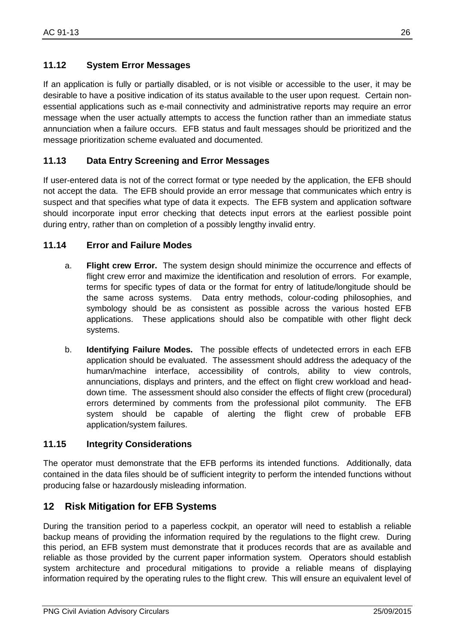#### <span id="page-25-0"></span>**11.12 System Error Messages**

If an application is fully or partially disabled, or is not visible or accessible to the user, it may be desirable to have a positive indication of its status available to the user upon request. Certain nonessential applications such as e-mail connectivity and administrative reports may require an error message when the user actually attempts to access the function rather than an immediate status annunciation when a failure occurs. EFB status and fault messages should be prioritized and the message prioritization scheme evaluated and documented.

#### <span id="page-25-1"></span>**11.13 Data Entry Screening and Error Messages**

If user-entered data is not of the correct format or type needed by the application, the EFB should not accept the data. The EFB should provide an error message that communicates which entry is suspect and that specifies what type of data it expects. The EFB system and application software should incorporate input error checking that detects input errors at the earliest possible point during entry, rather than on completion of a possibly lengthy invalid entry.

#### <span id="page-25-2"></span>**11.14 Error and Failure Modes**

- a. **Flight crew Error.** The system design should minimize the occurrence and effects of flight crew error and maximize the identification and resolution of errors. For example, terms for specific types of data or the format for entry of latitude/longitude should be the same across systems. Data entry methods, colour-coding philosophies, and symbology should be as consistent as possible across the various hosted EFB applications. These applications should also be compatible with other flight deck systems.
- b. **Identifying Failure Modes.** The possible effects of undetected errors in each EFB application should be evaluated. The assessment should address the adequacy of the human/machine interface, accessibility of controls, ability to view controls, annunciations, displays and printers, and the effect on flight crew workload and headdown time. The assessment should also consider the effects of flight crew (procedural) errors determined by comments from the professional pilot community. The EFB system should be capable of alerting the flight crew of probable EFB application/system failures.

#### <span id="page-25-3"></span>**11.15 Integrity Considerations**

The operator must demonstrate that the EFB performs its intended functions. Additionally, data contained in the data files should be of sufficient integrity to perform the intended functions without producing false or hazardously misleading information.

#### <span id="page-25-4"></span>**12 Risk Mitigation for EFB Systems**

During the transition period to a paperless cockpit, an operator will need to establish a reliable backup means of providing the information required by the regulations to the flight crew. During this period, an EFB system must demonstrate that it produces records that are as available and reliable as those provided by the current paper information system. Operators should establish system architecture and procedural mitigations to provide a reliable means of displaying information required by the operating rules to the flight crew. This will ensure an equivalent level of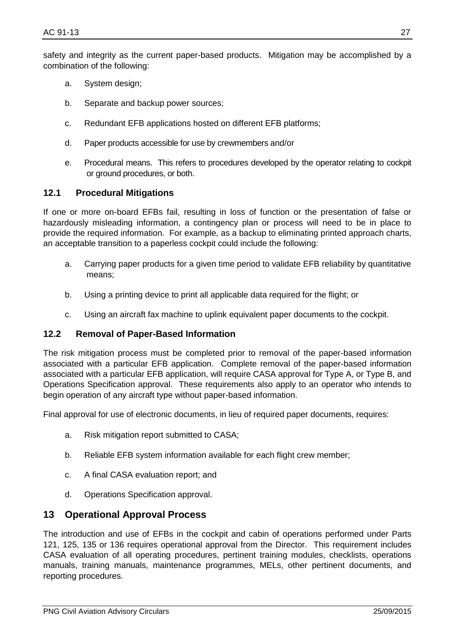safety and integrity as the current paper-based products. Mitigation may be accomplished by a combination of the following:

- a. System design;
- b. Separate and backup power sources;
- c. Redundant EFB applications hosted on different EFB platforms;
- d. Paper products accessible for use by crewmembers and/or
- e. Procedural means. This refers to procedures developed by the operator relating to cockpit or ground procedures, or both.

#### <span id="page-26-0"></span>**12.1 Procedural Mitigations**

If one or more on-board EFBs fail, resulting in loss of function or the presentation of false or hazardously misleading information, a contingency plan or process will need to be in place to provide the required information. For example, as a backup to eliminating printed approach charts, an acceptable transition to a paperless cockpit could include the following:

- a. Carrying paper products for a given time period to validate EFB reliability by quantitative means;
- b. Using a printing device to print all applicable data required for the flight; or
- c. Using an aircraft fax machine to uplink equivalent paper documents to the cockpit.

#### <span id="page-26-1"></span>**12.2 Removal of Paper-Based Information**

The risk mitigation process must be completed prior to removal of the paper-based information associated with a particular EFB application. Complete removal of the paper-based information associated with a particular EFB application, will require CASA approval for Type A, or Type B, and Operations Specification approval. These requirements also apply to an operator who intends to begin operation of any aircraft type without paper-based information.

Final approval for use of electronic documents, in lieu of required paper documents, requires:

- a. Risk mitigation report submitted to CASA;
- b. Reliable EFB system information available for each flight crew member;
- c. A final CASA evaluation report; and
- d. Operations Specification approval.

#### <span id="page-26-2"></span>**13 Operational Approval Process**

The introduction and use of EFBs in the cockpit and cabin of operations performed under Parts 121, 125, 135 or 136 requires operational approval from the Director. This requirement includes CASA evaluation of all operating procedures, pertinent training modules, checklists, operations manuals, training manuals, maintenance programmes, MELs, other pertinent documents, and reporting procedures.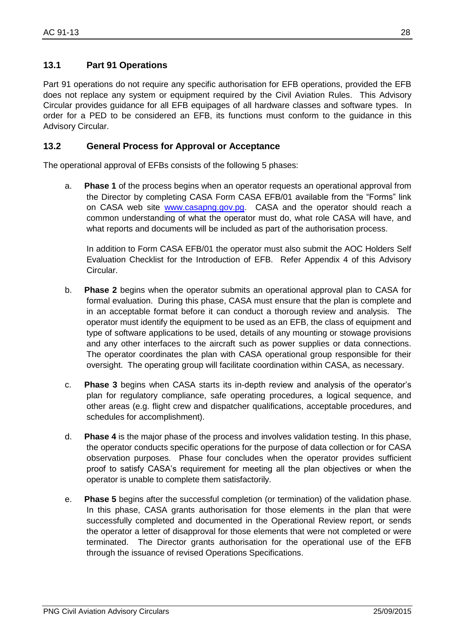<span id="page-27-0"></span>Part 91 operations do not require any specific authorisation for EFB operations, provided the EFB does not replace any system or equipment required by the Civil Aviation Rules. This Advisory Circular provides guidance for all EFB equipages of all hardware classes and software types. In order for a PED to be considered an EFB, its functions must conform to the guidance in this Advisory Circular.

#### <span id="page-27-1"></span>**13.2 General Process for Approval or Acceptance**

The operational approval of EFBs consists of the following 5 phases:

a. **Phase 1** of the process begins when an operator requests an operational approval from the Director by completing CASA Form CASA EFB/01 available from the "Forms" link on CASA web site [www.casapng.gov.pg.](http://www.casapng.gov.pg/) CASA and the operator should reach a common understanding of what the operator must do, what role CASA will have, and what reports and documents will be included as part of the authorisation process.

In addition to Form CASA EFB/01 the operator must also submit the AOC Holders Self Evaluation Checklist for the Introduction of EFB. Refer Appendix 4 of this Advisory Circular.

- b. **Phase 2** begins when the operator submits an operational approval plan to CASA for formal evaluation. During this phase, CASA must ensure that the plan is complete and in an acceptable format before it can conduct a thorough review and analysis. The operator must identify the equipment to be used as an EFB, the class of equipment and type of software applications to be used, details of any mounting or stowage provisions and any other interfaces to the aircraft such as power supplies or data connections. The operator coordinates the plan with CASA operational group responsible for their oversight. The operating group will facilitate coordination within CASA, as necessary.
- c. **Phase 3** begins when CASA starts its in-depth review and analysis of the operator's plan for regulatory compliance, safe operating procedures, a logical sequence, and other areas (e.g. flight crew and dispatcher qualifications, acceptable procedures, and schedules for accomplishment).
- d. **Phase 4** is the major phase of the process and involves validation testing. In this phase, the operator conducts specific operations for the purpose of data collection or for CASA observation purposes. Phase four concludes when the operator provides sufficient proof to satisfy CASA's requirement for meeting all the plan objectives or when the operator is unable to complete them satisfactorily.
- e. **Phase 5** begins after the successful completion (or termination) of the validation phase. In this phase, CASA grants authorisation for those elements in the plan that were successfully completed and documented in the Operational Review report, or sends the operator a letter of disapproval for those elements that were not completed or were terminated. The Director grants authorisation for the operational use of the EFB through the issuance of revised Operations Specifications.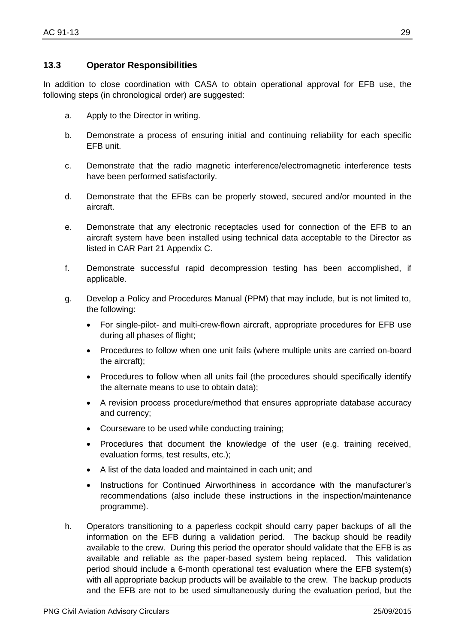#### <span id="page-28-0"></span>**13.3 Operator Responsibilities**

In addition to close coordination with CASA to obtain operational approval for EFB use, the following steps (in chronological order) are suggested:

- a. Apply to the Director in writing.
- b. Demonstrate a process of ensuring initial and continuing reliability for each specific EFB unit.
- c. Demonstrate that the radio magnetic interference/electromagnetic interference tests have been performed satisfactorily.
- d. Demonstrate that the EFBs can be properly stowed, secured and/or mounted in the aircraft.
- e. Demonstrate that any electronic receptacles used for connection of the EFB to an aircraft system have been installed using technical data acceptable to the Director as listed in CAR Part 21 Appendix C.
- f. Demonstrate successful rapid decompression testing has been accomplished, if applicable.
- g. Develop a Policy and Procedures Manual (PPM) that may include, but is not limited to, the following:
	- For single-pilot- and multi-crew-flown aircraft, appropriate procedures for EFB use during all phases of flight;
	- Procedures to follow when one unit fails (where multiple units are carried on-board the aircraft);
	- Procedures to follow when all units fail (the procedures should specifically identify the alternate means to use to obtain data);
	- A revision process procedure/method that ensures appropriate database accuracy and currency;
	- Courseware to be used while conducting training;
	- Procedures that document the knowledge of the user (e.g. training received, evaluation forms, test results, etc.);
	- A list of the data loaded and maintained in each unit; and
	- Instructions for Continued Airworthiness in accordance with the manufacturer's recommendations (also include these instructions in the inspection/maintenance programme).
- h. Operators transitioning to a paperless cockpit should carry paper backups of all the information on the EFB during a validation period. The backup should be readily available to the crew. During this period the operator should validate that the EFB is as available and reliable as the paper-based system being replaced. This validation period should include a 6-month operational test evaluation where the EFB system(s) with all appropriate backup products will be available to the crew. The backup products and the EFB are not to be used simultaneously during the evaluation period, but the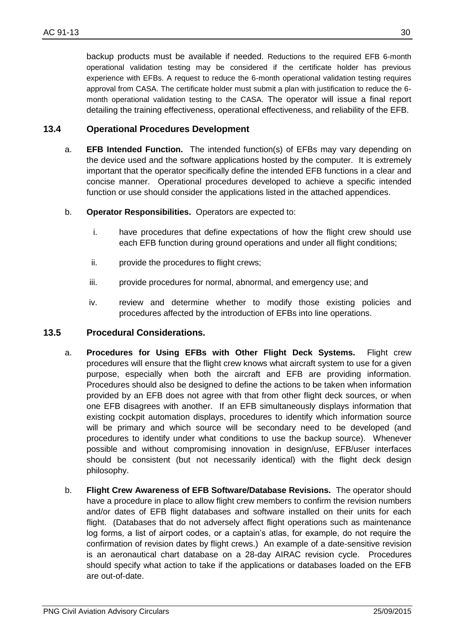backup products must be available if needed. Reductions to the required EFB 6-month operational validation testing may be considered if the certificate holder has previous experience with EFBs. A request to reduce the 6-month operational validation testing requires approval from CASA. The certificate holder must submit a plan with justification to reduce the 6 month operational validation testing to the CASA. The operator will issue a final report detailing the training effectiveness, operational effectiveness, and reliability of the EFB.

#### <span id="page-29-0"></span>**13.4 Operational Procedures Development**

- a. **EFB Intended Function.** The intended function(s) of EFBs may vary depending on the device used and the software applications hosted by the computer. It is extremely important that the operator specifically define the intended EFB functions in a clear and concise manner. Operational procedures developed to achieve a specific intended function or use should consider the applications listed in the attached appendices.
- b. **Operator Responsibilities.** Operators are expected to:
	- i. have procedures that define expectations of how the flight crew should use each EFB function during ground operations and under all flight conditions;
	- ii. provide the procedures to flight crews;
	- iii. provide procedures for normal, abnormal, and emergency use; and
	- iv. review and determine whether to modify those existing policies and procedures affected by the introduction of EFBs into line operations.

#### <span id="page-29-1"></span>**13.5 Procedural Considerations.**

- a. **Procedures for Using EFBs with Other Flight Deck Systems.** Flight crew procedures will ensure that the flight crew knows what aircraft system to use for a given purpose, especially when both the aircraft and EFB are providing information. Procedures should also be designed to define the actions to be taken when information provided by an EFB does not agree with that from other flight deck sources, or when one EFB disagrees with another. If an EFB simultaneously displays information that existing cockpit automation displays, procedures to identify which information source will be primary and which source will be secondary need to be developed (and procedures to identify under what conditions to use the backup source). Whenever possible and without compromising innovation in design/use, EFB/user interfaces should be consistent (but not necessarily identical) with the flight deck design philosophy.
- b. **Flight Crew Awareness of EFB Software/Database Revisions.** The operator should have a procedure in place to allow flight crew members to confirm the revision numbers and/or dates of EFB flight databases and software installed on their units for each flight. (Databases that do not adversely affect flight operations such as maintenance log forms, a list of airport codes, or a captain's atlas, for example, do not require the confirmation of revision dates by flight crews.) An example of a date-sensitive revision is an aeronautical chart database on a 28-day AIRAC revision cycle. Procedures should specify what action to take if the applications or databases loaded on the EFB are out-of-date.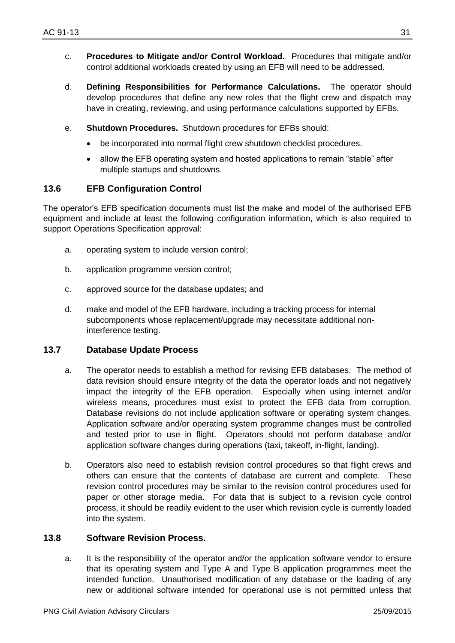- c. **Procedures to Mitigate and/or Control Workload.** Procedures that mitigate and/or control additional workloads created by using an EFB will need to be addressed.
- d. **Defining Responsibilities for Performance Calculations.** The operator should develop procedures that define any new roles that the flight crew and dispatch may have in creating, reviewing, and using performance calculations supported by EFBs.
- e. **Shutdown Procedures.** Shutdown procedures for EFBs should:
	- be incorporated into normal flight crew shutdown checklist procedures.
	- allow the EFB operating system and hosted applications to remain "stable" after multiple startups and shutdowns.

#### <span id="page-30-0"></span>**13.6 EFB Configuration Control**

The operator's EFB specification documents must list the make and model of the authorised EFB equipment and include at least the following configuration information, which is also required to support Operations Specification approval:

- a. operating system to include version control;
- b. application programme version control;
- c. approved source for the database updates; and
- d. make and model of the EFB hardware, including a tracking process for internal subcomponents whose replacement/upgrade may necessitate additional noninterference testing.

#### <span id="page-30-1"></span>**13.7 Database Update Process**

- a. The operator needs to establish a method for revising EFB databases. The method of data revision should ensure integrity of the data the operator loads and not negatively impact the integrity of the EFB operation. Especially when using internet and/or wireless means, procedures must exist to protect the EFB data from corruption. Database revisions do not include application software or operating system changes. Application software and/or operating system programme changes must be controlled and tested prior to use in flight. Operators should not perform database and/or application software changes during operations (taxi, takeoff, in-flight, landing).
- b. Operators also need to establish revision control procedures so that flight crews and others can ensure that the contents of database are current and complete. These revision control procedures may be similar to the revision control procedures used for paper or other storage media. For data that is subject to a revision cycle control process, it should be readily evident to the user which revision cycle is currently loaded into the system.

#### <span id="page-30-2"></span>**13.8 Software Revision Process.**

a. It is the responsibility of the operator and/or the application software vendor to ensure that its operating system and Type A and Type B application programmes meet the intended function. Unauthorised modification of any database or the loading of any new or additional software intended for operational use is not permitted unless that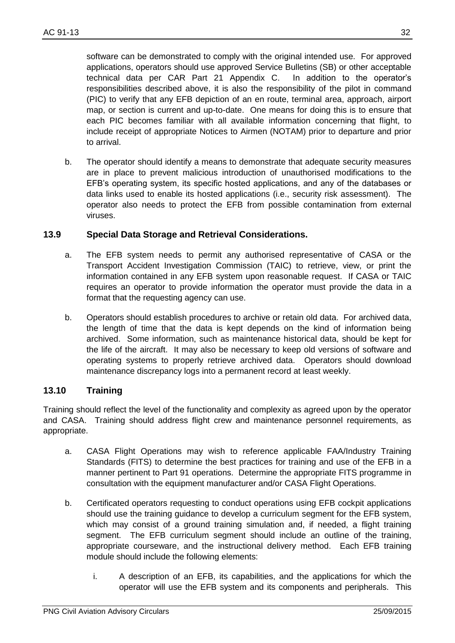software can be demonstrated to comply with the original intended use. For approved applications, operators should use approved Service Bulletins (SB) or other acceptable technical data per CAR Part 21 Appendix C. In addition to the operator's responsibilities described above, it is also the responsibility of the pilot in command (PIC) to verify that any EFB depiction of an en route, terminal area, approach, airport map, or section is current and up-to-date. One means for doing this is to ensure that each PIC becomes familiar with all available information concerning that flight, to include receipt of appropriate Notices to Airmen (NOTAM) prior to departure and prior to arrival.

b. The operator should identify a means to demonstrate that adequate security measures are in place to prevent malicious introduction of unauthorised modifications to the EFB's operating system, its specific hosted applications, and any of the databases or data links used to enable its hosted applications (i.e., security risk assessment). The operator also needs to protect the EFB from possible contamination from external viruses.

#### <span id="page-31-0"></span>**13.9 Special Data Storage and Retrieval Considerations.**

- a. The EFB system needs to permit any authorised representative of CASA or the Transport Accident Investigation Commission (TAIC) to retrieve, view, or print the information contained in any EFB system upon reasonable request. If CASA or TAIC requires an operator to provide information the operator must provide the data in a format that the requesting agency can use.
- b. Operators should establish procedures to archive or retain old data. For archived data, the length of time that the data is kept depends on the kind of information being archived. Some information, such as maintenance historical data, should be kept for the life of the aircraft. It may also be necessary to keep old versions of software and operating systems to properly retrieve archived data. Operators should download maintenance discrepancy logs into a permanent record at least weekly.

#### <span id="page-31-1"></span>**13.10 Training**

Training should reflect the level of the functionality and complexity as agreed upon by the operator and CASA. Training should address flight crew and maintenance personnel requirements, as appropriate.

- a. CASA Flight Operations may wish to reference applicable FAA/Industry Training Standards (FITS) to determine the best practices for training and use of the EFB in a manner pertinent to Part 91 operations. Determine the appropriate FITS programme in consultation with the equipment manufacturer and/or CASA Flight Operations.
- b. Certificated operators requesting to conduct operations using EFB cockpit applications should use the training guidance to develop a curriculum segment for the EFB system, which may consist of a ground training simulation and, if needed, a flight training segment. The EFB curriculum segment should include an outline of the training, appropriate courseware, and the instructional delivery method. Each EFB training module should include the following elements:
	- i. A description of an EFB, its capabilities, and the applications for which the operator will use the EFB system and its components and peripherals. This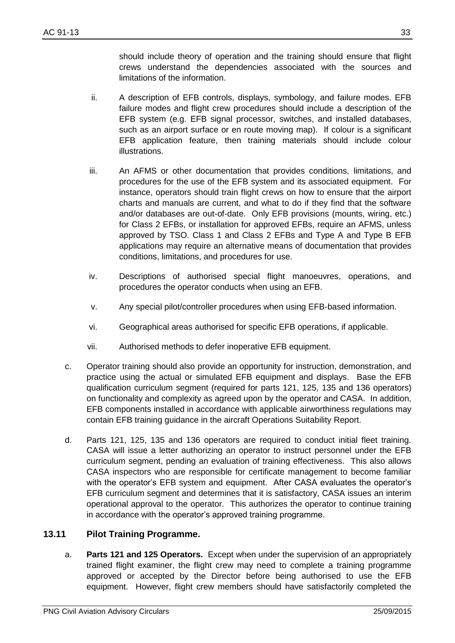should include theory of operation and the training should ensure that flight crews understand the dependencies associated with the sources and limitations of the information.

- ii. A description of EFB controls, displays, symbology, and failure modes. EFB failure modes and flight crew procedures should include a description of the EFB system (e.g. EFB signal processor, switches, and installed databases, such as an airport surface or en route moving map). If colour is a significant EFB application feature, then training materials should include colour illustrations.
- iii. An AFMS or other documentation that provides conditions, limitations, and procedures for the use of the EFB system and its associated equipment. For instance, operators should train flight crews on how to ensure that the airport charts and manuals are current, and what to do if they find that the software and/or databases are out-of-date. Only EFB provisions (mounts, wiring, etc.) for Class 2 EFBs, or installation for approved EFBs, require an AFMS, unless approved by TSO. Class 1 and Class 2 EFBs and Type A and Type B EFB applications may require an alternative means of documentation that provides conditions, limitations, and procedures for use.
- iv. Descriptions of authorised special flight manoeuvres, operations, and procedures the operator conducts when using an EFB.
- v. Any special pilot/controller procedures when using EFB-based information.
- vi. Geographical areas authorised for specific EFB operations, if applicable.
- vii. Authorised methods to defer inoperative EFB equipment.
- c. Operator training should also provide an opportunity for instruction, demonstration, and practice using the actual or simulated EFB equipment and displays. Base the EFB qualification curriculum segment (required for parts 121, 125, 135 and 136 operators) on functionality and complexity as agreed upon by the operator and CASA. In addition, EFB components installed in accordance with applicable airworthiness regulations may contain EFB training guidance in the aircraft Operations Suitability Report.
- d. Parts 121, 125, 135 and 136 operators are required to conduct initial fleet training. CASA will issue a letter authorizing an operator to instruct personnel under the EFB curriculum segment, pending an evaluation of training effectiveness. This also allows CASA inspectors who are responsible for certificate management to become familiar with the operator's EFB system and equipment. After CASA evaluates the operator's EFB curriculum segment and determines that it is satisfactory, CASA issues an interim operational approval to the operator. This authorizes the operator to continue training in accordance with the operator's approved training programme.

#### <span id="page-32-0"></span>**13.11 Pilot Training Programme.**

a. **Parts 121 and 125 Operators.** Except when under the supervision of an appropriately trained flight examiner, the flight crew may need to complete a training programme approved or accepted by the Director before being authorised to use the EFB equipment. However, flight crew members should have satisfactorily completed the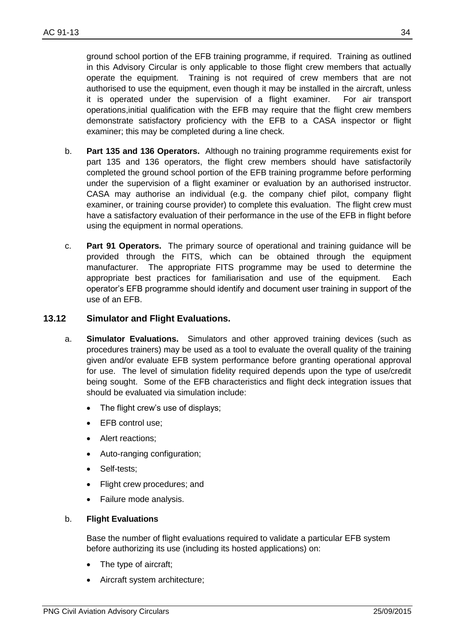ground school portion of the EFB training programme, if required. Training as outlined in this Advisory Circular is only applicable to those flight crew members that actually operate the equipment. Training is not required of crew members that are not authorised to use the equipment, even though it may be installed in the aircraft, unless it is operated under the supervision of a flight examiner. For air transport operations,initial qualification with the EFB may require that the flight crew members demonstrate satisfactory proficiency with the EFB to a CASA inspector or flight examiner; this may be completed during a line check.

- b. **Part 135 and 136 Operators.** Although no training programme requirements exist for part 135 and 136 operators, the flight crew members should have satisfactorily completed the ground school portion of the EFB training programme before performing under the supervision of a flight examiner or evaluation by an authorised instructor. CASA may authorise an individual (e.g. the company chief pilot, company flight examiner, or training course provider) to complete this evaluation. The flight crew must have a satisfactory evaluation of their performance in the use of the EFB in flight before using the equipment in normal operations.
- c. **Part 91 Operators.** The primary source of operational and training guidance will be provided through the FITS, which can be obtained through the equipment manufacturer. The appropriate FITS programme may be used to determine the appropriate best practices for familiarisation and use of the equipment. Each operator's EFB programme should identify and document user training in support of the use of an EFB.

#### <span id="page-33-0"></span>**13.12 Simulator and Flight Evaluations.**

- a. **Simulator Evaluations.** Simulators and other approved training devices (such as procedures trainers) may be used as a tool to evaluate the overall quality of the training given and/or evaluate EFB system performance before granting operational approval for use. The level of simulation fidelity required depends upon the type of use/credit being sought. Some of the EFB characteristics and flight deck integration issues that should be evaluated via simulation include:
	- The flight crew's use of displays;
	- EFB control use;
	- Alert reactions;
	- Auto-ranging configuration;
	- Self-tests;
	- Flight crew procedures; and
	- Failure mode analysis.

#### b. **Flight Evaluations**

Base the number of flight evaluations required to validate a particular EFB system before authorizing its use (including its hosted applications) on:

- The type of aircraft;
- Aircraft system architecture;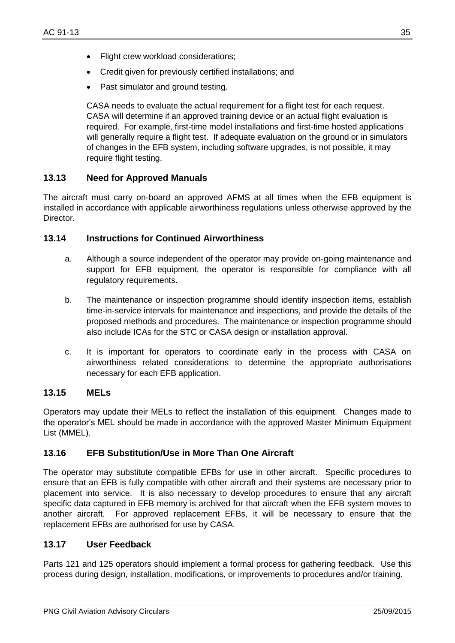- Flight crew workload considerations;
- Credit given for previously certified installations; and
- Past simulator and ground testing.

CASA needs to evaluate the actual requirement for a flight test for each request. CASA will determine if an approved training device or an actual flight evaluation is required. For example, first-time model installations and first-time hosted applications will generally require a flight test. If adequate evaluation on the ground or in simulators of changes in the EFB system, including software upgrades, is not possible, it may require flight testing.

#### <span id="page-34-0"></span>**13.13 Need for Approved Manuals**

The aircraft must carry on-board an approved AFMS at all times when the EFB equipment is installed in accordance with applicable airworthiness regulations unless otherwise approved by the Director.

#### <span id="page-34-1"></span>**13.14 Instructions for Continued Airworthiness**

- a. Although a source independent of the operator may provide on-going maintenance and support for EFB equipment, the operator is responsible for compliance with all regulatory requirements.
- b. The maintenance or inspection programme should identify inspection items, establish time-in-service intervals for maintenance and inspections, and provide the details of the proposed methods and procedures. The maintenance or inspection programme should also include ICAs for the STC or CASA design or installation approval.
- c. It is important for operators to coordinate early in the process with CASA on airworthiness related considerations to determine the appropriate authorisations necessary for each EFB application.

#### <span id="page-34-2"></span>**13.15 MELs**

Operators may update their MELs to reflect the installation of this equipment. Changes made to the operator's MEL should be made in accordance with the approved Master Minimum Equipment List (MMEL).

#### <span id="page-34-3"></span>**13.16 EFB Substitution/Use in More Than One Aircraft**

The operator may substitute compatible EFBs for use in other aircraft. Specific procedures to ensure that an EFB is fully compatible with other aircraft and their systems are necessary prior to placement into service. It is also necessary to develop procedures to ensure that any aircraft specific data captured in EFB memory is archived for that aircraft when the EFB system moves to another aircraft. For approved replacement EFBs, it will be necessary to ensure that the replacement EFBs are authorised for use by CASA.

#### <span id="page-34-4"></span>**13.17 User Feedback**

Parts 121 and 125 operators should implement a formal process for gathering feedback. Use this process during design, installation, modifications, or improvements to procedures and/or training.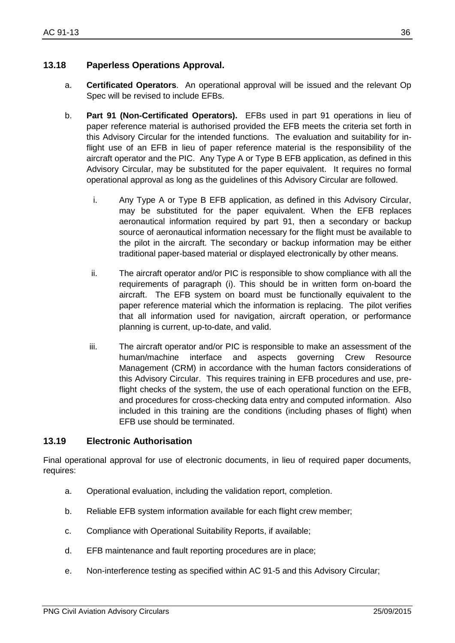- <span id="page-35-0"></span>a. **Certificated Operators**. An operational approval will be issued and the relevant Op Spec will be revised to include EFBs.
- b. **Part 91 (Non-Certificated Operators).** EFBs used in part 91 operations in lieu of paper reference material is authorised provided the EFB meets the criteria set forth in this Advisory Circular for the intended functions. The evaluation and suitability for inflight use of an EFB in lieu of paper reference material is the responsibility of the aircraft operator and the PIC. Any Type A or Type B EFB application, as defined in this Advisory Circular, may be substituted for the paper equivalent. It requires no formal operational approval as long as the guidelines of this Advisory Circular are followed.
	- i. Any Type A or Type B EFB application, as defined in this Advisory Circular, may be substituted for the paper equivalent. When the EFB replaces aeronautical information required by part 91, then a secondary or backup source of aeronautical information necessary for the flight must be available to the pilot in the aircraft. The secondary or backup information may be either traditional paper-based material or displayed electronically by other means.
	- ii. The aircraft operator and/or PIC is responsible to show compliance with all the requirements of paragraph (i). This should be in written form on-board the aircraft. The EFB system on board must be functionally equivalent to the paper reference material which the information is replacing. The pilot verifies that all information used for navigation, aircraft operation, or performance planning is current, up-to-date, and valid.
	- iii. The aircraft operator and/or PIC is responsible to make an assessment of the human/machine interface and aspects governing Crew Resource Management (CRM) in accordance with the human factors considerations of this Advisory Circular. This requires training in EFB procedures and use, preflight checks of the system, the use of each operational function on the EFB, and procedures for cross-checking data entry and computed information. Also included in this training are the conditions (including phases of flight) when EFB use should be terminated.

### <span id="page-35-1"></span>**13.19 Electronic Authorisation**

Final operational approval for use of electronic documents, in lieu of required paper documents, requires:

- a. Operational evaluation, including the validation report, completion.
- b. Reliable EFB system information available for each flight crew member;
- c. Compliance with Operational Suitability Reports, if available;
- d. EFB maintenance and fault reporting procedures are in place;
- e. Non-interference testing as specified within AC 91-5 and this Advisory Circular;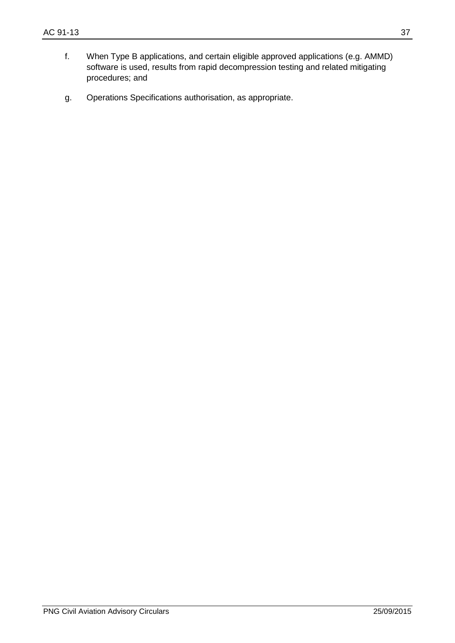- f. When Type B applications, and certain eligible approved applications (e.g. AMMD) software is used, results from rapid decompression testing and related mitigating procedures; and
- g. Operations Specifications authorisation, as appropriate.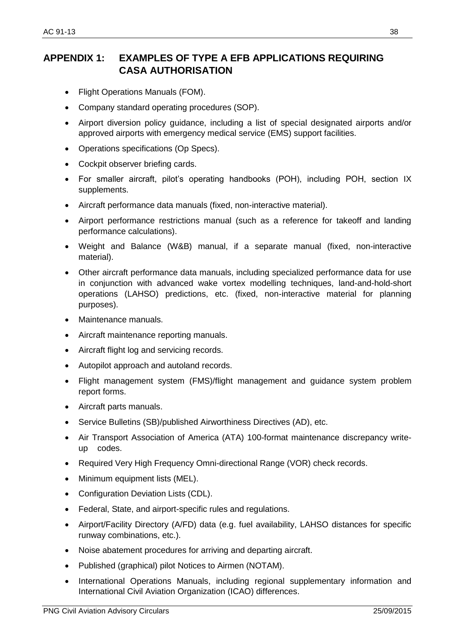# <span id="page-37-0"></span>**APPENDIX 1: EXAMPLES OF TYPE A EFB APPLICATIONS REQUIRING CASA AUTHORISATION**

- Flight Operations Manuals (FOM).
- Company standard operating procedures (SOP).
- Airport diversion policy guidance, including a list of special designated airports and/or approved airports with emergency medical service (EMS) support facilities.
- Operations specifications (Op Specs).
- Cockpit observer briefing cards.
- For smaller aircraft, pilot's operating handbooks (POH), including POH, section IX supplements.
- Aircraft performance data manuals (fixed, non-interactive material).
- Airport performance restrictions manual (such as a reference for takeoff and landing performance calculations).
- Weight and Balance (W&B) manual, if a separate manual (fixed, non-interactive material).
- Other aircraft performance data manuals, including specialized performance data for use in conjunction with advanced wake vortex modelling techniques, land-and-hold-short operations (LAHSO) predictions, etc. (fixed, non-interactive material for planning purposes).
- Maintenance manuals.
- Aircraft maintenance reporting manuals.
- Aircraft flight log and servicing records.
- Autopilot approach and autoland records.
- Flight management system (FMS)/flight management and guidance system problem report forms.
- Aircraft parts manuals.
- Service Bulletins (SB)/published Airworthiness Directives (AD), etc.
- Air Transport Association of America (ATA) 100-format maintenance discrepancy writeup codes.
- Required Very High Frequency Omni-directional Range (VOR) check records.
- Minimum equipment lists (MEL).
- Configuration Deviation Lists (CDL).
- Federal, State, and airport-specific rules and regulations.
- Airport/Facility Directory (A/FD) data (e.g. fuel availability, LAHSO distances for specific runway combinations, etc.).
- Noise abatement procedures for arriving and departing aircraft.
- Published (graphical) pilot Notices to Airmen (NOTAM).
- International Operations Manuals, including regional supplementary information and International Civil Aviation Organization (ICAO) differences.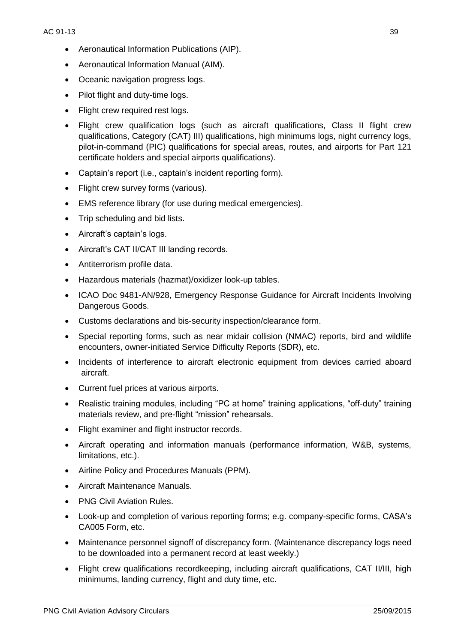- Aeronautical Information Publications (AIP).
- Aeronautical Information Manual (AIM).
- Oceanic navigation progress logs.
- Pilot flight and duty-time logs.
- Flight crew required rest logs.
- Flight crew qualification logs (such as aircraft qualifications, Class II flight crew qualifications, Category (CAT) III) qualifications, high minimums logs, night currency logs, pilot-in-command (PIC) qualifications for special areas, routes, and airports for Part 121 certificate holders and special airports qualifications).
- Captain's report (i.e., captain's incident reporting form).
- Flight crew survey forms (various).
- EMS reference library (for use during medical emergencies).
- Trip scheduling and bid lists.
- Aircraft's captain's logs.
- Aircraft's CAT II/CAT III landing records.
- Antiterrorism profile data.
- Hazardous materials (hazmat)/oxidizer look-up tables.
- ICAO Doc 9481-AN/928, Emergency Response Guidance for Aircraft Incidents Involving Dangerous Goods.
- Customs declarations and bis-security inspection/clearance form.
- Special reporting forms, such as near midair collision (NMAC) reports, bird and wildlife encounters, owner-initiated Service Difficulty Reports (SDR), etc.
- Incidents of interference to aircraft electronic equipment from devices carried aboard aircraft.
- Current fuel prices at various airports.
- Realistic training modules, including "PC at home" training applications, "off-duty" training materials review, and pre-flight "mission" rehearsals.
- Flight examiner and flight instructor records.
- Aircraft operating and information manuals (performance information, W&B, systems, limitations, etc.).
- Airline Policy and Procedures Manuals (PPM).
- Aircraft Maintenance Manuals.
- PNG Civil Aviation Rules.
- Look-up and completion of various reporting forms; e.g. company-specific forms, CASA's CA005 Form, etc.
- Maintenance personnel signoff of discrepancy form. (Maintenance discrepancy logs need to be downloaded into a permanent record at least weekly.)
- Flight crew qualifications recordkeeping, including aircraft qualifications, CAT II/III, high minimums, landing currency, flight and duty time, etc.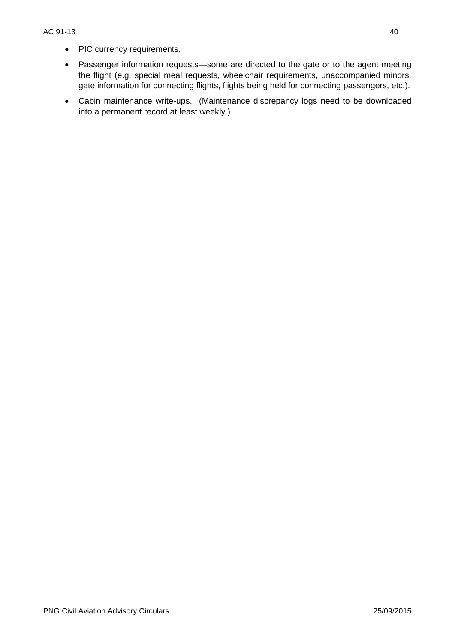- PIC currency requirements.
- Passenger information requests—some are directed to the gate or to the agent meeting the flight (e.g. special meal requests, wheelchair requirements, unaccompanied minors, gate information for connecting flights, flights being held for connecting passengers, etc.).
- Cabin maintenance write-ups. (Maintenance discrepancy logs need to be downloaded into a permanent record at least weekly.)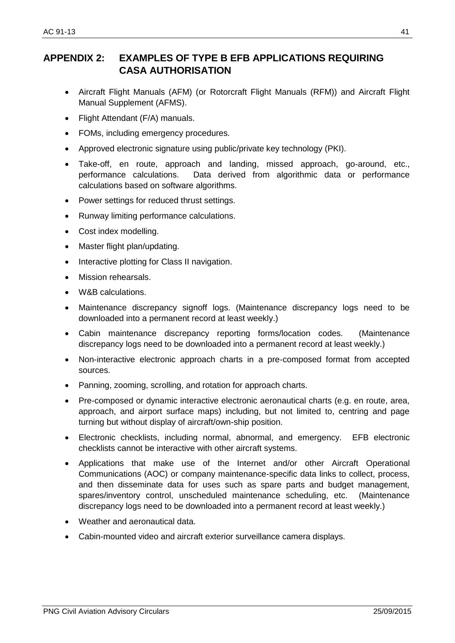# <span id="page-40-0"></span>**APPENDIX 2: EXAMPLES OF TYPE B EFB APPLICATIONS REQUIRING CASA AUTHORISATION**

- Aircraft Flight Manuals (AFM) (or Rotorcraft Flight Manuals (RFM)) and Aircraft Flight Manual Supplement (AFMS).
- Flight Attendant (F/A) manuals.
- FOMs, including emergency procedures.
- Approved electronic signature using public/private key technology (PKI).
- Take-off, en route, approach and landing, missed approach, go-around, etc., performance calculations. Data derived from algorithmic data or performance calculations based on software algorithms.
- Power settings for reduced thrust settings.
- Runway limiting performance calculations.
- Cost index modelling.
- Master flight plan/updating.
- Interactive plotting for Class II navigation.
- Mission rehearsals.
- W&B calculations.
- Maintenance discrepancy signoff logs. (Maintenance discrepancy logs need to be downloaded into a permanent record at least weekly.)
- Cabin maintenance discrepancy reporting forms/location codes. (Maintenance discrepancy logs need to be downloaded into a permanent record at least weekly.)
- Non-interactive electronic approach charts in a pre-composed format from accepted sources.
- Panning, zooming, scrolling, and rotation for approach charts.
- Pre-composed or dynamic interactive electronic aeronautical charts (e.g. en route, area, approach, and airport surface maps) including, but not limited to, centring and page turning but without display of aircraft/own-ship position.
- Electronic checklists, including normal, abnormal, and emergency. EFB electronic checklists cannot be interactive with other aircraft systems.
- Applications that make use of the Internet and/or other Aircraft Operational Communications (AOC) or company maintenance-specific data links to collect, process, and then disseminate data for uses such as spare parts and budget management, spares/inventory control, unscheduled maintenance scheduling, etc. (Maintenance discrepancy logs need to be downloaded into a permanent record at least weekly.)
- Weather and aeronautical data.
- Cabin-mounted video and aircraft exterior surveillance camera displays.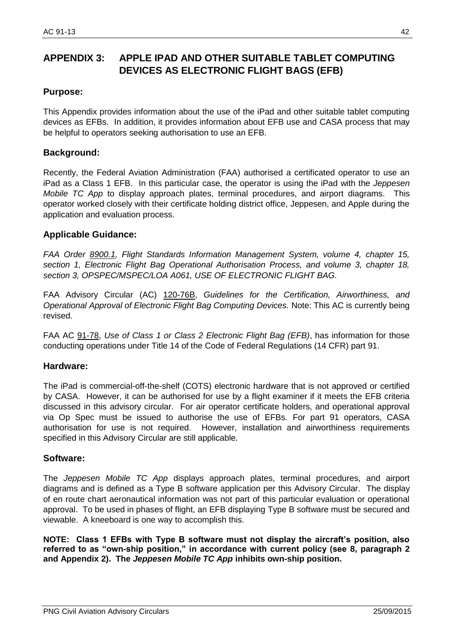# <span id="page-41-0"></span>**APPENDIX 3: APPLE IPAD AND OTHER SUITABLE TABLET COMPUTING DEVICES AS ELECTRONIC FLIGHT BAGS (EFB)**

#### **Purpose:**

This Appendix provides information about the use of the iPad and other suitable tablet computing devices as EFBs. In addition, it provides information about EFB use and CASA process that may be helpful to operators seeking authorisation to use an EFB.

#### **Background:**

Recently, the Federal Aviation Administration (FAA) authorised a certificated operator to use an iPad as a Class 1 EFB. In this particular case, the operator is using the iPad with the *Jeppesen Mobile TC App* to display approach plates, terminal procedures, and airport diagrams. This operator worked closely with their certificate holding district office, Jeppesen, and Apple during the application and evaluation process.

#### **Applicable Guidance:**

*FAA Order 8900.1, Flight Standards Information Management System, volume 4, chapter 15, section 1, Electronic Flight Bag Operational Authorisation Process, and volume 3, chapter 18, section 3, OPSPEC/MSPEC/LOA A061, USE OF ELECTRONIC FLIGHT BAG.*

FAA Advisory Circular (AC) 120-76B, *Guidelines for the Certification, Airworthiness, and Operational Approval of Electronic Flight Bag Computing Devices.* Note: This AC is currently being revised.

FAA AC 91-78, *Use of Class 1 or Class 2 Electronic Flight Bag (EFB)*, has information for those conducting operations under Title 14 of the Code of Federal Regulations (14 CFR) part 91.

#### **Hardware:**

The iPad is commercial-off-the-shelf (COTS) electronic hardware that is not approved or certified by CASA. However, it can be authorised for use by a flight examiner if it meets the EFB criteria discussed in this advisory circular. For air operator certificate holders, and operational approval via Op Spec must be issued to authorise the use of EFBs. For part 91 operators, CASA authorisation for use is not required. However, installation and airworthiness requirements specified in this Advisory Circular are still applicable.

#### **Software:**

The *Jeppesen Mobile TC App* displays approach plates, terminal procedures, and airport diagrams and is defined as a Type B software application per this Advisory Circular. The display of en route chart aeronautical information was not part of this particular evaluation or operational approval. To be used in phases of flight, an EFB displaying Type B software must be secured and viewable. A kneeboard is one way to accomplish this.

**NOTE: Class 1 EFBs with Type B software must not display the aircraft's position, also referred to as "own-ship position," in accordance with current policy (see 8, paragraph 2 and Appendix 2). The** *Jeppesen Mobile TC App* **inhibits own-ship position.**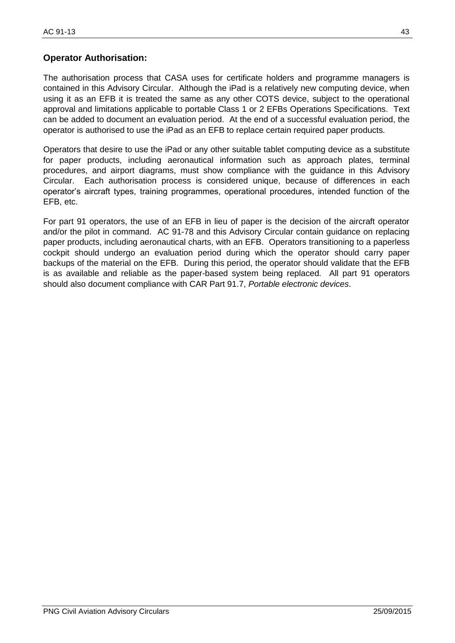#### **Operator Authorisation:**

The authorisation process that CASA uses for certificate holders and programme managers is contained in this Advisory Circular. Although the iPad is a relatively new computing device, when using it as an EFB it is treated the same as any other COTS device, subject to the operational approval and limitations applicable to portable Class 1 or 2 EFBs Operations Specifications. Text can be added to document an evaluation period. At the end of a successful evaluation period, the operator is authorised to use the iPad as an EFB to replace certain required paper products.

Operators that desire to use the iPad or any other suitable tablet computing device as a substitute for paper products, including aeronautical information such as approach plates, terminal procedures, and airport diagrams, must show compliance with the guidance in this Advisory Circular. Each authorisation process is considered unique, because of differences in each operator's aircraft types, training programmes, operational procedures, intended function of the EFB, etc.

For part 91 operators, the use of an EFB in lieu of paper is the decision of the aircraft operator and/or the pilot in command. AC 91-78 and this Advisory Circular contain guidance on replacing paper products, including aeronautical charts, with an EFB. Operators transitioning to a paperless cockpit should undergo an evaluation period during which the operator should carry paper backups of the material on the EFB. During this period, the operator should validate that the EFB is as available and reliable as the paper-based system being replaced. All part 91 operators should also document compliance with CAR Part 91.7, *Portable electronic devices*.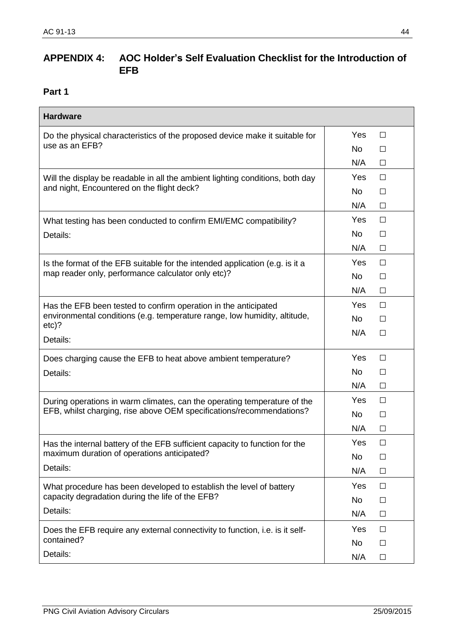# <span id="page-43-0"></span>**APPENDIX 4: AOC Holder's Self Evaluation Checklist for the Introduction of EFB**

<span id="page-43-1"></span>

| <b>Hardware</b>                                                                      |           |        |
|--------------------------------------------------------------------------------------|-----------|--------|
| Do the physical characteristics of the proposed device make it suitable for          |           | $\Box$ |
| use as an EFB?                                                                       | No        | $\Box$ |
|                                                                                      | N/A       | $\Box$ |
| Will the display be readable in all the ambient lighting conditions, both day        | Yes       | $\Box$ |
| and night, Encountered on the flight deck?                                           | No        | $\Box$ |
|                                                                                      | N/A       | $\Box$ |
| What testing has been conducted to confirm EMI/EMC compatibility?                    | Yes       | $\Box$ |
| Details:                                                                             | No        | П      |
|                                                                                      | N/A       | $\Box$ |
| Is the format of the EFB suitable for the intended application (e.g. is it a         | Yes       | $\Box$ |
| map reader only, performance calculator only etc)?                                   | No        | $\Box$ |
|                                                                                      | N/A       | $\Box$ |
| Has the EFB been tested to confirm operation in the anticipated                      | Yes       | $\Box$ |
| environmental conditions (e.g. temperature range, low humidity, altitude,<br>$etc$ ? | <b>No</b> | □      |
| Details:                                                                             | N/A       | $\Box$ |
| Does charging cause the EFB to heat above ambient temperature?                       | Yes       | $\Box$ |
| Details:                                                                             | <b>No</b> | $\Box$ |
|                                                                                      | N/A       | $\Box$ |
| During operations in warm climates, can the operating temperature of the             | Yes       | $\Box$ |
| EFB, whilst charging, rise above OEM specifications/recommendations?                 |           | $\Box$ |
|                                                                                      | N/A       | $\Box$ |
| Has the internal battery of the EFB sufficient capacity to function for the          | Yes       | $\Box$ |
| maximum duration of operations anticipated?                                          | No        | $\Box$ |
| Details:                                                                             | N/A       | $\Box$ |
| What procedure has been developed to establish the level of battery                  | Yes       | $\Box$ |
| capacity degradation during the life of the EFB?                                     | No        | □      |
| Details:                                                                             | N/A       | $\Box$ |
| Does the EFB require any external connectivity to function, <i>i.e.</i> is it self-  | Yes       | $\Box$ |
| contained?                                                                           | No        | $\Box$ |
| Details:                                                                             | N/A       | $\Box$ |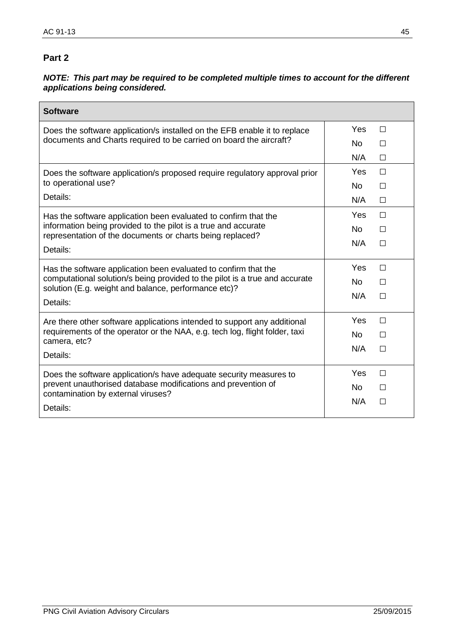#### <span id="page-44-0"></span>*NOTE:**This part may be required to be completed multiple times to account for the different applications being considered.*

| <b>Software</b>                                                                                                                                                           |            |        |
|---------------------------------------------------------------------------------------------------------------------------------------------------------------------------|------------|--------|
| Does the software application/s installed on the EFB enable it to replace                                                                                                 |            | П      |
| documents and Charts required to be carried on board the aircraft?                                                                                                        | No.        | П      |
|                                                                                                                                                                           | N/A        | П      |
| Does the software application/s proposed require regulatory approval prior                                                                                                | <b>Yes</b> | $\Box$ |
| to operational use?                                                                                                                                                       | No.        | П      |
| Details:                                                                                                                                                                  | N/A        | $\Box$ |
| Has the software application been evaluated to confirm that the                                                                                                           | Yes        | $\Box$ |
| information being provided to the pilot is a true and accurate<br>representation of the documents or charts being replaced?                                               |            | $\Box$ |
| Details:                                                                                                                                                                  | N/A        | П      |
| Has the software application been evaluated to confirm that the                                                                                                           |            | П      |
| computational solution/s being provided to the pilot is a true and accurate<br>solution (E.g. weight and balance, performance etc)?                                       | <b>No</b>  | П      |
| Details:                                                                                                                                                                  |            | П      |
| Are there other software applications intended to support any additional                                                                                                  | Yes        | П      |
| requirements of the operator or the NAA, e.g. tech log, flight folder, taxi<br>camera, etc?                                                                               |            | П      |
| Details:                                                                                                                                                                  | N/A        | П      |
| Does the software application/s have adequate security measures to<br>prevent unauthorised database modifications and prevention of<br>contamination by external viruses? |            | П      |
|                                                                                                                                                                           |            | П      |
| Details:                                                                                                                                                                  | N/A        | П      |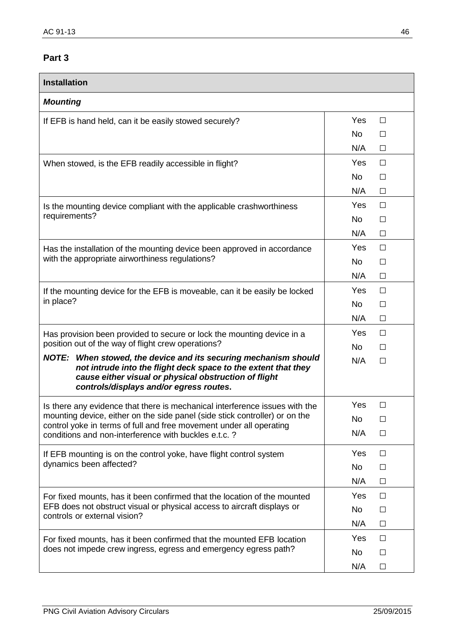<span id="page-45-0"></span>

| <b>Installation</b>                                                                                                               |                     |
|-----------------------------------------------------------------------------------------------------------------------------------|---------------------|
| <b>Mounting</b>                                                                                                                   |                     |
| If EFB is hand held, can it be easily stowed securely?                                                                            | Yes<br>$\Box$       |
|                                                                                                                                   | <b>No</b><br>П      |
|                                                                                                                                   | N/A<br>$\Box$       |
| When stowed, is the EFB readily accessible in flight?                                                                             | Yes<br>$\Box$       |
|                                                                                                                                   | No<br>$\Box$        |
|                                                                                                                                   | N/A<br>$\Box$       |
| Is the mounting device compliant with the applicable crashworthiness                                                              | Yes<br>П            |
| requirements?                                                                                                                     | <b>No</b><br>$\Box$ |
|                                                                                                                                   | N/A<br>П            |
| Has the installation of the mounting device been approved in accordance                                                           | Yes<br>$\Box$       |
| with the appropriate airworthiness regulations?                                                                                   | <b>No</b><br>П      |
|                                                                                                                                   | N/A<br>П            |
| If the mounting device for the EFB is moveable, can it be easily be locked                                                        | Yes<br>$\Box$       |
| in place?                                                                                                                         | <b>No</b><br>$\Box$ |
|                                                                                                                                   | N/A<br>$\Box$       |
| Has provision been provided to secure or lock the mounting device in a                                                            | Yes<br>П            |
| position out of the way of flight crew operations?                                                                                | <b>No</b><br>П      |
| NOTE: When stowed, the device and its securing mechanism should<br>not intrude into the flight deck space to the extent that they | N/A<br>П            |
| cause either visual or physical obstruction of flight<br>controls/displays and/or egress routes.                                  |                     |
| Is there any evidence that there is mechanical interference issues with the                                                       | Yes<br>⊔            |
| mounting device, either on the side panel (side stick controller) or on the                                                       | No<br>$\Box$        |
| control yoke in terms of full and free movement under all operating<br>conditions and non-interference with buckles e.t.c.?       | N/A<br>$\Box$       |
| If EFB mounting is on the control yoke, have flight control system                                                                | Yes<br>$\Box$       |
| dynamics been affected?                                                                                                           | No<br>$\Box$        |
|                                                                                                                                   | N/A<br>$\Box$       |
| For fixed mounts, has it been confirmed that the location of the mounted                                                          | <b>Yes</b><br>П     |
| EFB does not obstruct visual or physical access to aircraft displays or<br>controls or external vision?                           | No<br>□             |
|                                                                                                                                   | N/A<br>$\Box$       |
| For fixed mounts, has it been confirmed that the mounted EFB location                                                             | Yes<br>□            |
| does not impede crew ingress, egress and emergency egress path?                                                                   | No<br>$\Box$        |
|                                                                                                                                   | N/A<br>$\Box$       |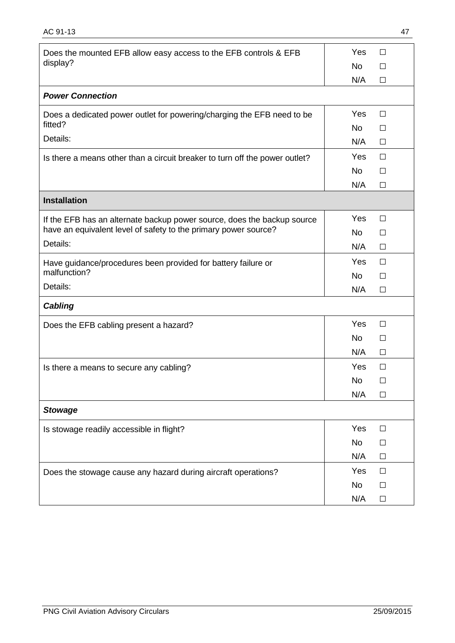| Does the mounted EFB allow easy access to the EFB controls & EFB                  | Yes       | $\Box$ |
|-----------------------------------------------------------------------------------|-----------|--------|
| display?                                                                          | <b>No</b> | $\Box$ |
|                                                                                   | N/A       | $\Box$ |
| <b>Power Connection</b>                                                           |           |        |
| Does a dedicated power outlet for powering/charging the EFB need to be<br>fitted? | Yes       | $\Box$ |
| Details:                                                                          | <b>No</b> | $\Box$ |
|                                                                                   | N/A       | $\Box$ |
| Is there a means other than a circuit breaker to turn off the power outlet?       | Yes       | $\Box$ |
|                                                                                   | <b>No</b> | П      |
|                                                                                   | N/A       | $\Box$ |
| <b>Installation</b>                                                               |           |        |
| If the EFB has an alternate backup power source, does the backup source           | Yes       | $\Box$ |
| have an equivalent level of safety to the primary power source?                   | <b>No</b> | П      |
| Details:                                                                          | N/A       | $\Box$ |
| Have guidance/procedures been provided for battery failure or                     | Yes       | $\Box$ |
| malfunction?                                                                      | <b>No</b> | П      |
| Details:                                                                          | N/A       | $\Box$ |
| <b>Cabling</b>                                                                    |           |        |
| Does the EFB cabling present a hazard?                                            | Yes       | $\Box$ |
|                                                                                   | <b>No</b> | П      |
|                                                                                   | N/A       | $\Box$ |
| Is there a means to secure any cabling?                                           | Yes       | П      |
|                                                                                   | No        | $\Box$ |
|                                                                                   | N/A       | $\Box$ |
| <b>Stowage</b>                                                                    |           |        |
| Is stowage readily accessible in flight?                                          | Yes       | $\Box$ |
|                                                                                   | No        | $\Box$ |
|                                                                                   | N/A       | $\Box$ |
| Does the stowage cause any hazard during aircraft operations?                     | Yes       | $\Box$ |
|                                                                                   | No        | $\Box$ |
|                                                                                   | N/A       | $\Box$ |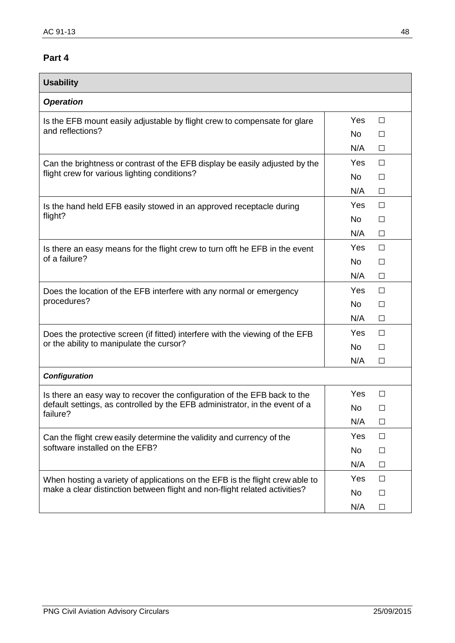<span id="page-47-0"></span>

| <b>Usability</b>                                                                        |           |        |
|-----------------------------------------------------------------------------------------|-----------|--------|
| <b>Operation</b>                                                                        |           |        |
| Is the EFB mount easily adjustable by flight crew to compensate for glare               | Yes       | $\Box$ |
| and reflections?                                                                        | <b>No</b> | $\Box$ |
|                                                                                         | N/A       | $\Box$ |
| Can the brightness or contrast of the EFB display be easily adjusted by the             | Yes       | $\Box$ |
| flight crew for various lighting conditions?                                            | No        | $\Box$ |
|                                                                                         | N/A       | $\Box$ |
| Is the hand held EFB easily stowed in an approved receptacle during                     | Yes       | $\Box$ |
| flight?                                                                                 | No        | $\Box$ |
|                                                                                         | N/A       | $\Box$ |
| Is there an easy means for the flight crew to turn offt he EFB in the event             | Yes       | $\Box$ |
| of a failure?                                                                           | No        | $\Box$ |
|                                                                                         | N/A       | $\Box$ |
| Does the location of the EFB interfere with any normal or emergency<br>procedures?      | Yes       | $\Box$ |
|                                                                                         | <b>No</b> | $\Box$ |
|                                                                                         | N/A       | $\Box$ |
| Does the protective screen (if fitted) interfere with the viewing of the EFB            | Yes       | $\Box$ |
| or the ability to manipulate the cursor?                                                | No        | $\Box$ |
|                                                                                         |           | $\Box$ |
| <b>Configuration</b>                                                                    |           |        |
| Is there an easy way to recover the configuration of the EFB back to the                | Yes       | $\Box$ |
| default settings, as controlled by the EFB administrator, in the event of a<br>failure? | No        | П      |
|                                                                                         | N/A       | $\Box$ |
| Can the flight crew easily determine the validity and currency of the                   | Yes       | □      |
| software installed on the EFB?                                                          | No        | $\Box$ |
|                                                                                         | N/A       | □      |
| When hosting a variety of applications on the EFB is the flight crew able to            | Yes       | $\Box$ |
| make a clear distinction between flight and non-flight related activities?              | No        | $\Box$ |
|                                                                                         | N/A       | $\Box$ |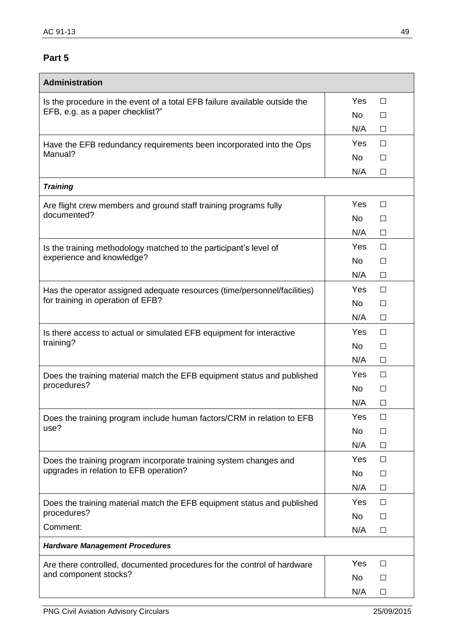<span id="page-48-0"></span>

| Administration                                                             |                           |
|----------------------------------------------------------------------------|---------------------------|
| Is the procedure in the event of a total EFB failure available outside the | Yes<br>$\Box$             |
| EFB, e.g. as a paper checklist?"                                           | <b>No</b><br>$\Box$       |
|                                                                            | N/A<br>$\Box$             |
| Have the EFB redundancy requirements been incorporated into the Ops        | Yes<br>$\Box$             |
| Manual?                                                                    | <b>No</b><br>$\Box$       |
|                                                                            | N/A<br>$\Box$             |
| <b>Training</b>                                                            |                           |
| Are flight crew members and ground staff training programs fully           | Yes<br>$\Box$             |
| documented?                                                                | <b>No</b><br>П            |
|                                                                            | N/A<br>$\Box$             |
| Is the training methodology matched to the participant's level of          | Yes<br>$\Box$             |
| experience and knowledge?                                                  | <b>No</b><br>$\Box$       |
|                                                                            | N/A<br>$\Box$             |
| Has the operator assigned adequate resources (time/personnel/facilities)   | Yes<br>П                  |
| for training in operation of EFB?                                          | <b>No</b><br>$\Box$       |
|                                                                            | N/A<br>$\Box$             |
| Is there access to actual or simulated EFB equipment for interactive       | Yes<br>$\Box$             |
| training?                                                                  | <b>No</b><br>$\Box$       |
|                                                                            | N/A<br>$\Box$             |
| Does the training material match the EFB equipment status and published    | Yes<br>$\Box$             |
| procedures?                                                                | <b>No</b><br>$\Box$       |
|                                                                            | N/A<br>П                  |
| Does the training program include human factors/CRM in relation to EFB     | Yes<br>$\Box$             |
| use?                                                                       | <b>No</b><br>$\mathsf{L}$ |
|                                                                            | N/A<br>$\Box$             |
| Does the training program incorporate training system changes and          | Yes<br>$\Box$             |
| upgrades in relation to EFB operation?                                     | No<br>$\Box$              |
|                                                                            | N/A<br>$\Box$             |
| Does the training material match the EFB equipment status and published    | Yes<br>$\Box$             |
| procedures?                                                                | No<br>$\Box$              |
| Comment:                                                                   | N/A<br>$\Box$             |
| <b>Hardware Management Procedures</b>                                      |                           |
| Are there controlled, documented procedures for the control of hardware    | Yes<br>$\Box$             |
| and component stocks?                                                      | No<br>$\Box$              |
|                                                                            | N/A<br>$\Box$             |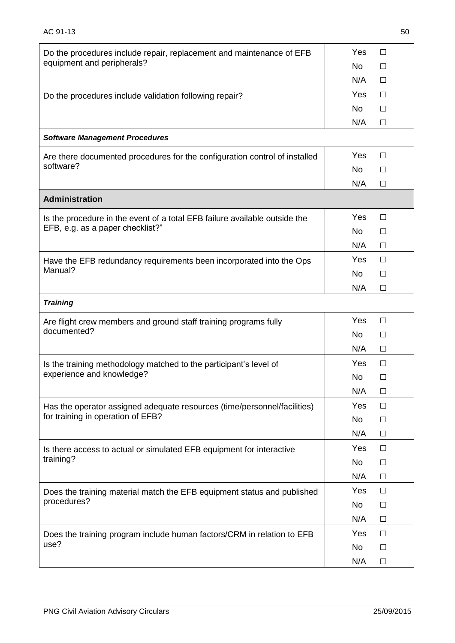| Do the procedures include repair, replacement and maintenance of EFB       | Yes<br>П             |
|----------------------------------------------------------------------------|----------------------|
| equipment and peripherals?                                                 | <b>No</b><br>П       |
|                                                                            | N/A<br>$\Box$        |
| Do the procedures include validation following repair?                     | <b>Yes</b><br>$\Box$ |
|                                                                            | <b>No</b><br>П       |
|                                                                            | N/A<br>П             |
| <b>Software Management Procedures</b>                                      |                      |
| Are there documented procedures for the configuration control of installed | Yes<br>$\Box$        |
| software?                                                                  | No.<br>П             |
|                                                                            | N/A<br>П             |
| <b>Administration</b>                                                      |                      |
| Is the procedure in the event of a total EFB failure available outside the | Yes<br>$\Box$        |
| EFB, e.g. as a paper checklist?"                                           | No.<br>П             |
|                                                                            | N/A<br>$\Box$        |
| Have the EFB redundancy requirements been incorporated into the Ops        | Yes<br>П             |
| Manual?                                                                    | <b>No</b><br>П       |
|                                                                            | N/A<br>П             |
| <b>Training</b>                                                            |                      |
| Are flight crew members and ground staff training programs fully           | Yes<br>$\Box$        |
| documented?                                                                | <b>No</b><br>$\Box$  |
|                                                                            | N/A<br>$\Box$        |
| Is the training methodology matched to the participant's level of          | Yes<br>П             |
| experience and knowledge?                                                  | <b>No</b><br>П       |
|                                                                            | N/A<br>$\Box$        |
| Has the operator assigned adequate resources (time/personnel/facilities)   | Yes<br>$\Box$        |
| for training in operation of EFB?                                          | No<br>$\Box$         |
|                                                                            | N/A<br>$\Box$        |
| Is there access to actual or simulated EFB equipment for interactive       | Yes<br>$\Box$        |
| training?                                                                  | <b>No</b><br>$\Box$  |
|                                                                            | N/A<br>$\Box$        |
| Does the training material match the EFB equipment status and published    | Yes<br>$\Box$        |
| procedures?                                                                | <b>No</b><br>$\Box$  |
|                                                                            | N/A<br>$\Box$        |
| Does the training program include human factors/CRM in relation to EFB     | Yes<br>$\Box$        |
| use?                                                                       | No<br>$\Box$         |
|                                                                            | N/A<br>$\Box$        |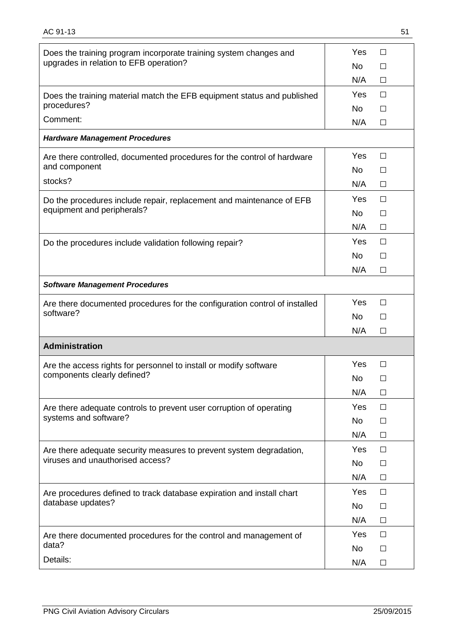| Does the training program incorporate training system changes and          | Yes<br>$\Box$             |
|----------------------------------------------------------------------------|---------------------------|
| upgrades in relation to EFB operation?                                     | No.<br>$\mathsf{L}$       |
|                                                                            | N/A<br>$\Box$             |
| Does the training material match the EFB equipment status and published    | Yes<br>$\Box$             |
| procedures?<br>Comment:                                                    | <b>No</b><br>$\mathsf{L}$ |
|                                                                            | N/A<br>П                  |
| <b>Hardware Management Procedures</b>                                      |                           |
| Are there controlled, documented procedures for the control of hardware    | Yes<br>$\Box$             |
| and component                                                              | No.<br>$\Box$             |
| stocks?                                                                    | N/A<br>П                  |
| Do the procedures include repair, replacement and maintenance of EFB       | <b>Yes</b><br>П           |
| equipment and peripherals?                                                 | <b>No</b><br>П            |
|                                                                            | N/A<br>$\Box$             |
| Do the procedures include validation following repair?                     | Yes<br>П                  |
|                                                                            | <b>No</b><br>□            |
|                                                                            | N/A<br>П                  |
| <b>Software Management Procedures</b>                                      |                           |
| Are there documented procedures for the configuration control of installed | Yes<br>$\Box$             |
| software?                                                                  | No.<br>$\Box$             |
|                                                                            | N/A<br>П                  |
| <b>Administration</b>                                                      |                           |
| Are the access rights for personnel to install or modify software          | Yes<br>П                  |
| components clearly defined?                                                | No<br>П                   |
|                                                                            | N/A<br>$\Box$             |
| Are there adequate controls to prevent user corruption of operating        | Yes<br>$\Box$             |
| systems and software?                                                      | <b>No</b><br>$\Box$       |
|                                                                            | N/A<br>$\Box$             |
| Are there adequate security measures to prevent system degradation,        | Yes<br>$\Box$             |
| viruses and unauthorised access?                                           | <b>No</b><br>$\Box$       |
|                                                                            | N/A<br>$\Box$             |
| Are procedures defined to track database expiration and install chart      | Yes<br>$\Box$             |
| database updates?                                                          | <b>No</b><br>□            |
|                                                                            | N/A<br>$\Box$             |
| Are there documented procedures for the control and management of          | Yes<br>$\Box$             |
| data?                                                                      | <b>No</b><br>$\Box$       |
| Details:                                                                   | N/A<br>$\Box$             |